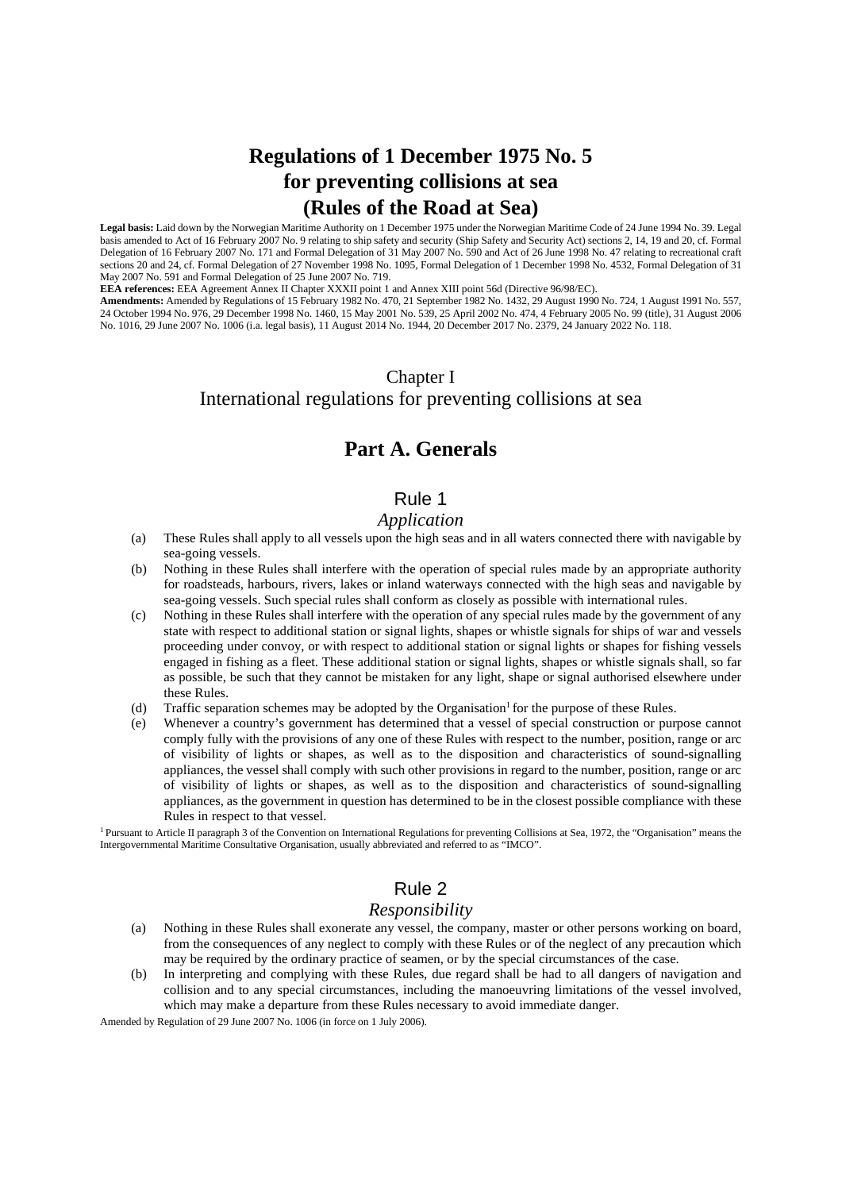# **Regulations of 1 December 1975 No. 5 for preventing collisions at sea (Rules of the Road at Sea)**

**Legal basis:** Laid down by the Norwegian Maritime Authority on 1 December 1975 under the Norwegian Maritime Code of 24 June 1994 No. 39. Legal basis amended to Act of 16 February 2007 No. 9 relating to ship safety and security (Ship Safety and Security Act) sections 2, 14, 19 and 20, cf. Formal Delegation of 16 February 2007 No. 171 and Formal Delegation of 31 May 2007 No. 590 and Act of 26 June 1998 No. 47 relating to recreational craft sections 20 and 24, cf. Formal Delegation of 27 November 1998 No. 1095, Formal Delegation of 1 December 1998 No. 4532, Formal Delegation of 31 May 2007 No. 591 and Formal Delegation of 25 June 2007 No. 719.

**EEA references:** EEA Agreement Annex II Chapter XXXII point 1 and Annex XIII point 56d (Directive 96/98/EC).

**Amendments:** Amended by Regulations of 15 February 1982 No. 470, 21 September 1982 No. 1432, 29 August 1990 No. 724, 1 August 1991 No. 557, 24 October 1994 No. 976, 29 December 1998 No. 1460, 15 May 2001 No. 539, 25 April 2002 No. 474, 4 February 2005 No. 99 (title), 31 August 2006 No. 1016, 29 June 2007 No. 1006 (i.a. legal basis), 11 August 2014 No. 1944, 20 December 2017 No. 2379, 24 January 2022 No. 118.

## Chapter I International regulations for preventing collisions at sea

## **Part A. Generals**

### Rule 1

### *Application*

- (a) These Rules shall apply to all vessels upon the high seas and in all waters connected there with navigable by sea-going vessels.
- (b) Nothing in these Rules shall interfere with the operation of special rules made by an appropriate authority for roadsteads, harbours, rivers, lakes or inland waterways connected with the high seas and navigable by sea-going vessels. Such special rules shall conform as closely as possible with international rules.
- (c) Nothing in these Rules shall interfere with the operation of any special rules made by the government of any state with respect to additional station or signal lights, shapes or whistle signals for ships of war and vessels proceeding under convoy, or with respect to additional station or signal lights or shapes for fishing vessels engaged in fishing as a fleet. These additional station or signal lights, shapes or whistle signals shall, so far as possible, be such that they cannot be mistaken for any light, shape or signal authorised elsewhere under these Rules.
- (d) Traffic separation schemes may be adopted by the Organisation<sup>1</sup> for the purpose of these Rules.
- (e) Whenever a country's government has determined that a vessel of special construction or purpose cannot comply fully with the provisions of any one of these Rules with respect to the number, position, range or arc of visibility of lights or shapes, as well as to the disposition and characteristics of sound-signalling appliances, the vessel shall comply with such other provisions in regard to the number, position, range or arc of visibility of lights or shapes, as well as to the disposition and characteristics of sound-signalling appliances, as the government in question has determined to be in the closest possible compliance with these Rules in respect to that vessel.

1 Pursuant to Article II paragraph 3 of the Convention on International Regulations for preventing Collisions at Sea, 1972, the "Organisation" means the Intergovernmental Maritime Consultative Organisation, usually abbreviated and referred to as "IMCO".

### Rule 2

### *Responsibility*

- (a) Nothing in these Rules shall exonerate any vessel, the company, master or other persons working on board, from the consequences of any neglect to comply with these Rules or of the neglect of any precaution which may be required by the ordinary practice of seamen, or by the special circumstances of the case.
- (b) In interpreting and complying with these Rules, due regard shall be had to all dangers of navigation and collision and to any special circumstances, including the manoeuvring limitations of the vessel involved, which may make a departure from these Rules necessary to avoid immediate danger.

Amended by Regulation of 29 June 2007 No. 1006 (in force on 1 July 2006).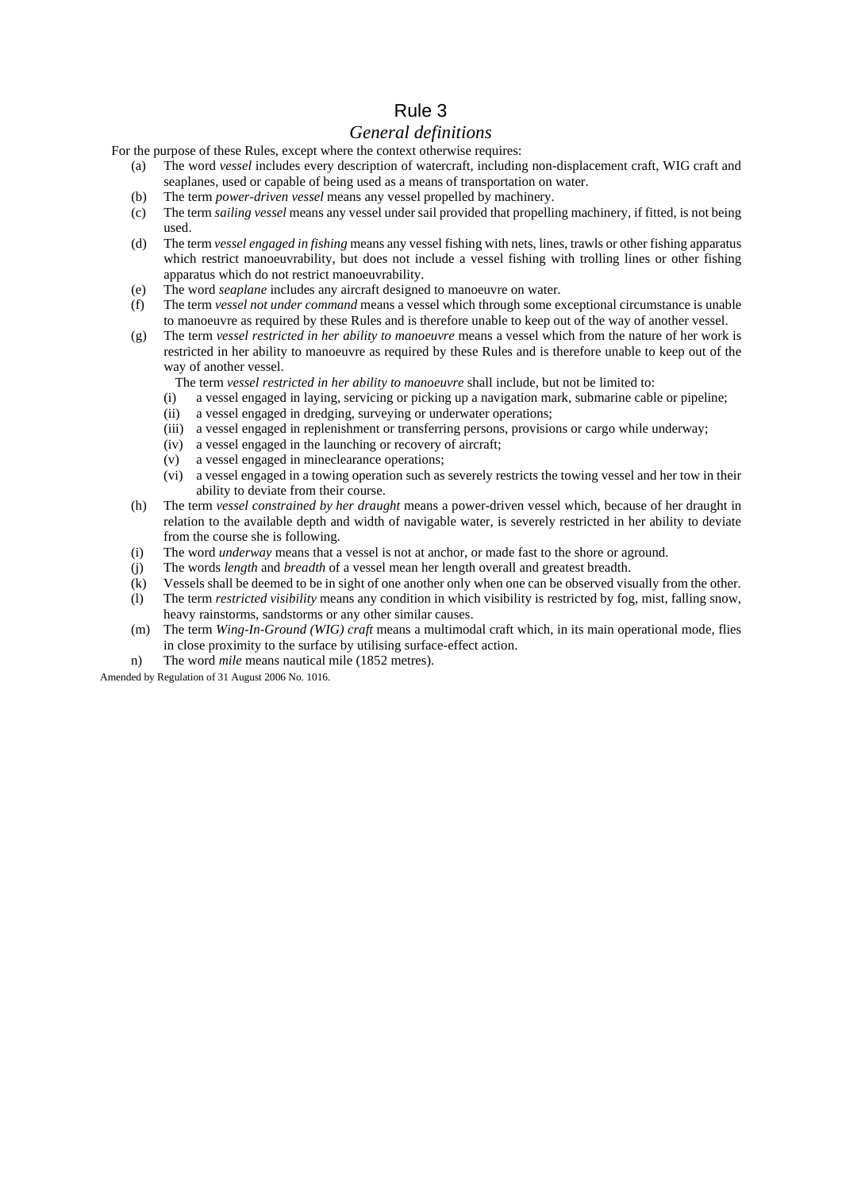### *General definitions*

For the purpose of these Rules, except where the context otherwise requires:

- (a) The word *vessel* includes every description of watercraft, including non-displacement craft, WIG craft and seaplanes, used or capable of being used as a means of transportation on water.
- (b) The term *power-driven vessel* means any vessel propelled by machinery.
- (c) The term *sailing vessel* means any vessel under sail provided that propelling machinery, if fitted, is not being used.
- (d) The term *vessel engaged in fishing* means any vessel fishing with nets, lines, trawls or other fishing apparatus which restrict manoeuvrability, but does not include a vessel fishing with trolling lines or other fishing apparatus which do not restrict manoeuvrability.
- (e) The word *seaplane* includes any aircraft designed to manoeuvre on water.
- (f) The term *vessel not under command* means a vessel which through some exceptional circumstance is unable to manoeuvre as required by these Rules and is therefore unable to keep out of the way of another vessel.
- (g) The term *vessel restricted in her ability to manoeuvre* means a vessel which from the nature of her work is restricted in her ability to manoeuvre as required by these Rules and is therefore unable to keep out of the way of another vessel.

The term *vessel restricted in her ability to manoeuvre* shall include, but not be limited to:

- (i) a vessel engaged in laying, servicing or picking up a navigation mark, submarine cable or pipeline;
- (ii) a vessel engaged in dredging, surveying or underwater operations;
- (iii) a vessel engaged in replenishment or transferring persons, provisions or cargo while underway;
- (iv) a vessel engaged in the launching or recovery of aircraft;
- (v) a vessel engaged in mineclearance operations;
- (vi) a vessel engaged in a towing operation such as severely restricts the towing vessel and her tow in their ability to deviate from their course.
- (h) The term *vessel constrained by her draught* means a power-driven vessel which, because of her draught in relation to the available depth and width of navigable water, is severely restricted in her ability to deviate from the course she is following.
- (i) The word *underway* means that a vessel is not at anchor, or made fast to the shore or aground.
- (j) The words *length* and *breadth* of a vessel mean her length overall and greatest breadth.
- (k) Vessels shall be deemed to be in sight of one another only when one can be observed visually from the other.
- (l) The term *restricted visibility* means any condition in which visibility is restricted by fog, mist, falling snow, heavy rainstorms, sandstorms or any other similar causes.
- (m) The term *Wing-In-Ground (WIG) craft* means a multimodal craft which, in its main operational mode, flies in close proximity to the surface by utilising surface-effect action.
- n) The word *mile* means nautical mile (1852 metres).

Amended by Regulation of 31 August 2006 No. 1016.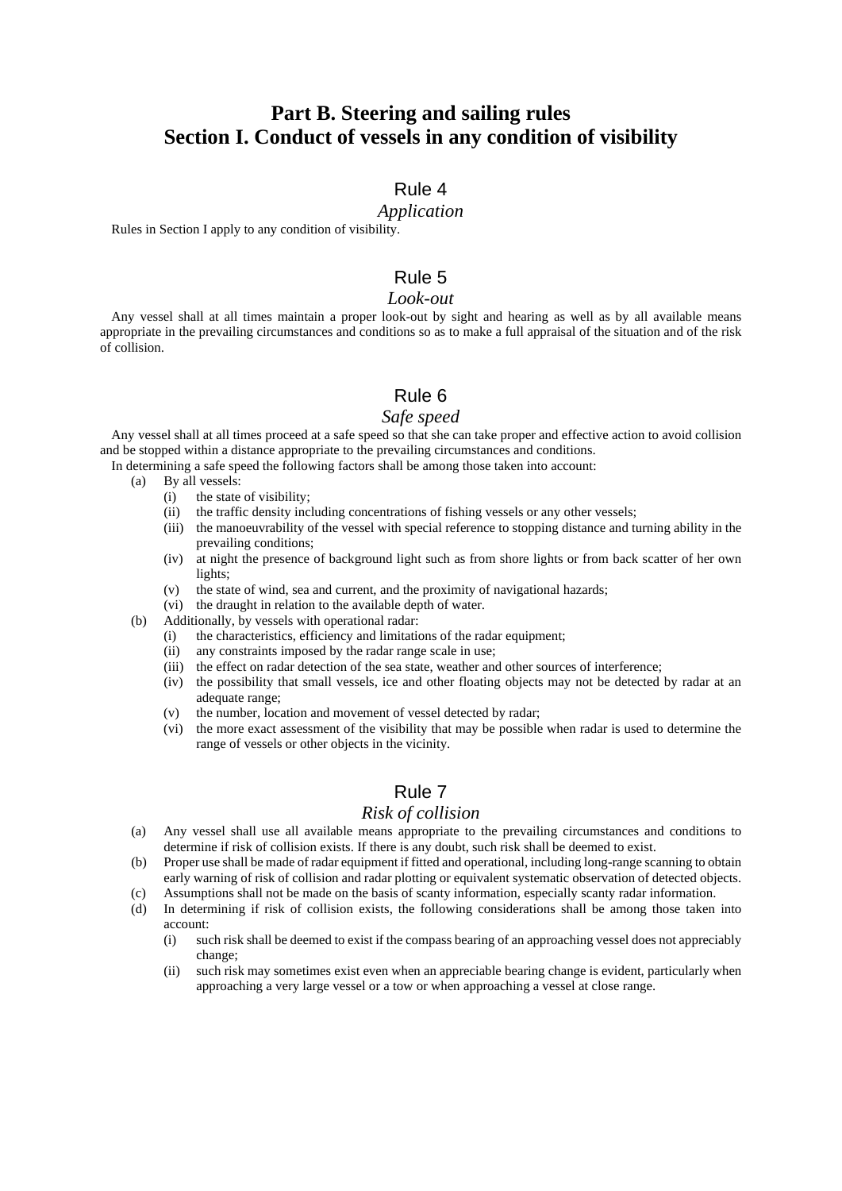# **Part B. Steering and sailing rules Section I. Conduct of vessels in any condition of visibility**

### Rule 4

### *Application*

Rules in Section I apply to any condition of visibility.

## Rule 5

#### *Look-out*

Any vessel shall at all times maintain a proper look-out by sight and hearing as well as by all available means appropriate in the prevailing circumstances and conditions so as to make a full appraisal of the situation and of the risk of collision.

### Rule 6

#### *Safe speed*

Any vessel shall at all times proceed at a safe speed so that she can take proper and effective action to avoid collision and be stopped within a distance appropriate to the prevailing circumstances and conditions.

In determining a safe speed the following factors shall be among those taken into account:

- (a) By all vessels:
	- (i) the state of visibility;
	- (ii) the traffic density including concentrations of fishing vessels or any other vessels;
	- (iii) the manoeuvrability of the vessel with special reference to stopping distance and turning ability in the prevailing conditions;
	- (iv) at night the presence of background light such as from shore lights or from back scatter of her own lights;
	- (v) the state of wind, sea and current, and the proximity of navigational hazards;
	- (vi) the draught in relation to the available depth of water.
- (b) Additionally, by vessels with operational radar:
	- (i) the characteristics, efficiency and limitations of the radar equipment;
	- (ii) any constraints imposed by the radar range scale in use;
	- (iii) the effect on radar detection of the sea state, weather and other sources of interference;
	- (iv) the possibility that small vessels, ice and other floating objects may not be detected by radar at an adequate range;
	- (v) the number, location and movement of vessel detected by radar;
	- (vi) the more exact assessment of the visibility that may be possible when radar is used to determine the range of vessels or other objects in the vicinity.

### Rule 7

### *Risk of collision*

- (a) Any vessel shall use all available means appropriate to the prevailing circumstances and conditions to determine if risk of collision exists. If there is any doubt, such risk shall be deemed to exist.
- (b) Proper use shall be made of radar equipment if fitted and operational, including long-range scanning to obtain early warning of risk of collision and radar plotting or equivalent systematic observation of detected objects.
- (c) Assumptions shall not be made on the basis of scanty information, especially scanty radar information.
- (d) In determining if risk of collision exists, the following considerations shall be among those taken into account:
	- (i) such risk shall be deemed to exist if the compass bearing of an approaching vessel does not appreciably change;
	- (ii) such risk may sometimes exist even when an appreciable bearing change is evident, particularly when approaching a very large vessel or a tow or when approaching a vessel at close range.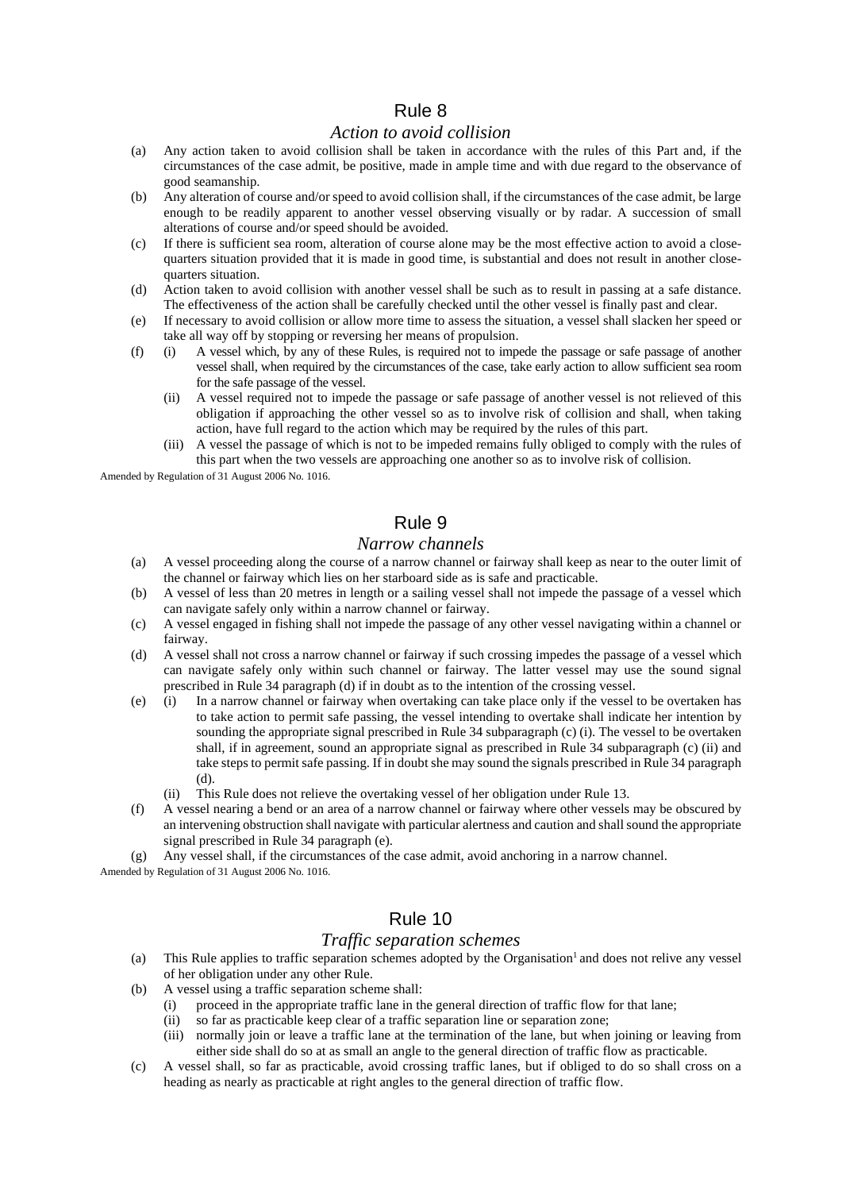### *Action to avoid collision*

- (a) Any action taken to avoid collision shall be taken in accordance with the rules of this Part and, if the circumstances of the case admit, be positive, made in ample time and with due regard to the observance of good seamanship.
- (b) Any alteration of course and/or speed to avoid collision shall, if the circumstances of the case admit, be large enough to be readily apparent to another vessel observing visually or by radar. A succession of small alterations of course and/or speed should be avoided.
- (c) If there is sufficient sea room, alteration of course alone may be the most effective action to avoid a closequarters situation provided that it is made in good time, is substantial and does not result in another closequarters situation.
- (d) Action taken to avoid collision with another vessel shall be such as to result in passing at a safe distance. The effectiveness of the action shall be carefully checked until the other vessel is finally past and clear.
- (e) If necessary to avoid collision or allow more time to assess the situation, a vessel shall slacken her speed or take all way off by stopping or reversing her means of propulsion.
- (f) (i) A vessel which, by any of these Rules, is required not to impede the passage or safe passage of another vessel shall, when required by the circumstances of the case, take early action to allow sufficient sea room for the safe passage of the vessel.
	- (ii) A vessel required not to impede the passage or safe passage of another vessel is not relieved of this obligation if approaching the other vessel so as to involve risk of collision and shall, when taking action, have full regard to the action which may be required by the rules of this part.
	- (iii) A vessel the passage of which is not to be impeded remains fully obliged to comply with the rules of this part when the two vessels are approaching one another so as to involve risk of collision.

Amended by Regulation of 31 August 2006 No. 1016.

## Rule 9

#### *Narrow channels*

- (a) A vessel proceeding along the course of a narrow channel or fairway shall keep as near to the outer limit of the channel or fairway which lies on her starboard side as is safe and practicable.
- (b) A vessel of less than 20 metres in length or a sailing vessel shall not impede the passage of a vessel which can navigate safely only within a narrow channel or fairway.
- (c) A vessel engaged in fishing shall not impede the passage of any other vessel navigating within a channel or fairway.
- (d) A vessel shall not cross a narrow channel or fairway if such crossing impedes the passage of a vessel which can navigate safely only within such channel or fairway. The latter vessel may use the sound signal prescribed in Rule 34 paragraph (d) if in doubt as to the intention of the crossing vessel.
- (e) (i) In a narrow channel or fairway when overtaking can take place only if the vessel to be overtaken has to take action to permit safe passing, the vessel intending to overtake shall indicate her intention by sounding the appropriate signal prescribed in Rule 34 subparagraph (c) (i). The vessel to be overtaken shall, if in agreement, sound an appropriate signal as prescribed in Rule 34 subparagraph (c) (ii) and take steps to permit safe passing. If in doubt she may sound the signals prescribed in Rule 34 paragraph (d).
	- (ii) This Rule does not relieve the overtaking vessel of her obligation under Rule 13.
- (f) A vessel nearing a bend or an area of a narrow channel or fairway where other vessels may be obscured by an intervening obstruction shall navigate with particular alertness and caution and shall sound the appropriate signal prescribed in Rule 34 paragraph (e).
- (g) Any vessel shall, if the circumstances of the case admit, avoid anchoring in a narrow channel.

Amended by Regulation of 31 August 2006 No. 1016.

### Rule 10

#### *Traffic separation schemes*

- (a) This Rule applies to traffic separation schemes adopted by the Organisation<sup>1</sup> and does not relive any vessel of her obligation under any other Rule.
- (b) A vessel using a traffic separation scheme shall:
	- (i) proceed in the appropriate traffic lane in the general direction of traffic flow for that lane;
	- (ii) so far as practicable keep clear of a traffic separation line or separation zone;
	- (iii) normally join or leave a traffic lane at the termination of the lane, but when joining or leaving from either side shall do so at as small an angle to the general direction of traffic flow as practicable.
- (c) A vessel shall, so far as practicable, avoid crossing traffic lanes, but if obliged to do so shall cross on a heading as nearly as practicable at right angles to the general direction of traffic flow.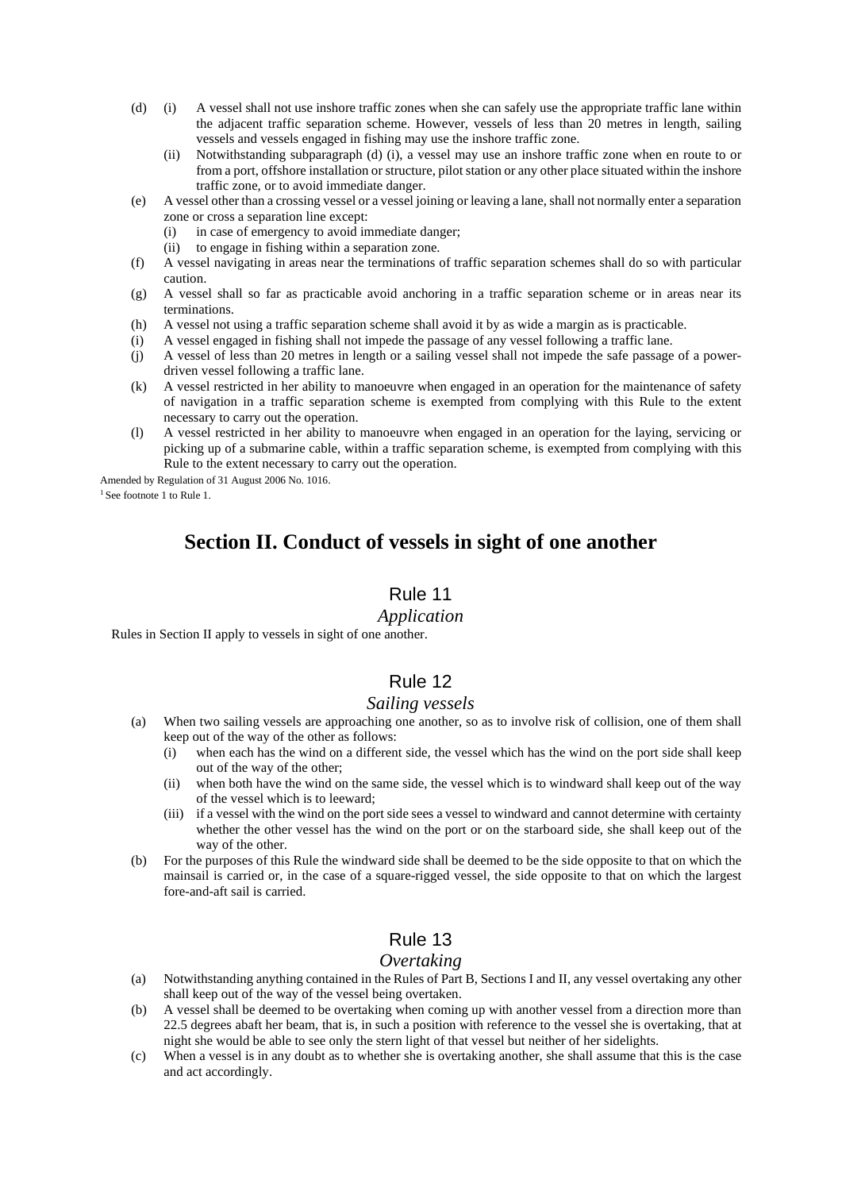- (d) (i) A vessel shall not use inshore traffic zones when she can safely use the appropriate traffic lane within the adjacent traffic separation scheme. However, vessels of less than 20 metres in length, sailing vessels and vessels engaged in fishing may use the inshore traffic zone.
	- (ii) Notwithstanding subparagraph (d) (i), a vessel may use an inshore traffic zone when en route to or from a port, offshore installation or structure, pilot station or any other place situated within the inshore traffic zone, or to avoid immediate danger.
- (e) A vessel other than a crossing vessel or a vessel joining or leaving a lane, shall not normally enter a separation zone or cross a separation line except:
	- (i) in case of emergency to avoid immediate danger;
	- (ii) to engage in fishing within a separation zone.
- (f) A vessel navigating in areas near the terminations of traffic separation schemes shall do so with particular caution.
- (g) A vessel shall so far as practicable avoid anchoring in a traffic separation scheme or in areas near its terminations.
- (h) A vessel not using a traffic separation scheme shall avoid it by as wide a margin as is practicable.
- (i) A vessel engaged in fishing shall not impede the passage of any vessel following a traffic lane.
- (j) A vessel of less than 20 metres in length or a sailing vessel shall not impede the safe passage of a powerdriven vessel following a traffic lane.
- (k) A vessel restricted in her ability to manoeuvre when engaged in an operation for the maintenance of safety of navigation in a traffic separation scheme is exempted from complying with this Rule to the extent necessary to carry out the operation.
- (l) A vessel restricted in her ability to manoeuvre when engaged in an operation for the laying, servicing or picking up of a submarine cable, within a traffic separation scheme, is exempted from complying with this Rule to the extent necessary to carry out the operation.

Amended by Regulation of 31 August 2006 No. 1016. 1 See footnote 1 to Rule 1.

## **Section II. Conduct of vessels in sight of one another**

### Rule 11

#### *Application*

Rules in Section II apply to vessels in sight of one another.

### Rule 12

#### *Sailing vessels*

- (a) When two sailing vessels are approaching one another, so as to involve risk of collision, one of them shall keep out of the way of the other as follows:
	- (i) when each has the wind on a different side, the vessel which has the wind on the port side shall keep out of the way of the other;
	- (ii) when both have the wind on the same side, the vessel which is to windward shall keep out of the way of the vessel which is to leeward;
	- (iii) if a vessel with the wind on the port side sees a vessel to windward and cannot determine with certainty whether the other vessel has the wind on the port or on the starboard side, she shall keep out of the way of the other.
- (b) For the purposes of this Rule the windward side shall be deemed to be the side opposite to that on which the mainsail is carried or, in the case of a square-rigged vessel, the side opposite to that on which the largest fore-and-aft sail is carried.

### Rule 13

### *Overtaking*

- (a) Notwithstanding anything contained in the Rules of Part B, Sections I and II, any vessel overtaking any other shall keep out of the way of the vessel being overtaken.
- (b) A vessel shall be deemed to be overtaking when coming up with another vessel from a direction more than 22.5 degrees abaft her beam, that is, in such a position with reference to the vessel she is overtaking, that at night she would be able to see only the stern light of that vessel but neither of her sidelights.
- (c) When a vessel is in any doubt as to whether she is overtaking another, she shall assume that this is the case and act accordingly.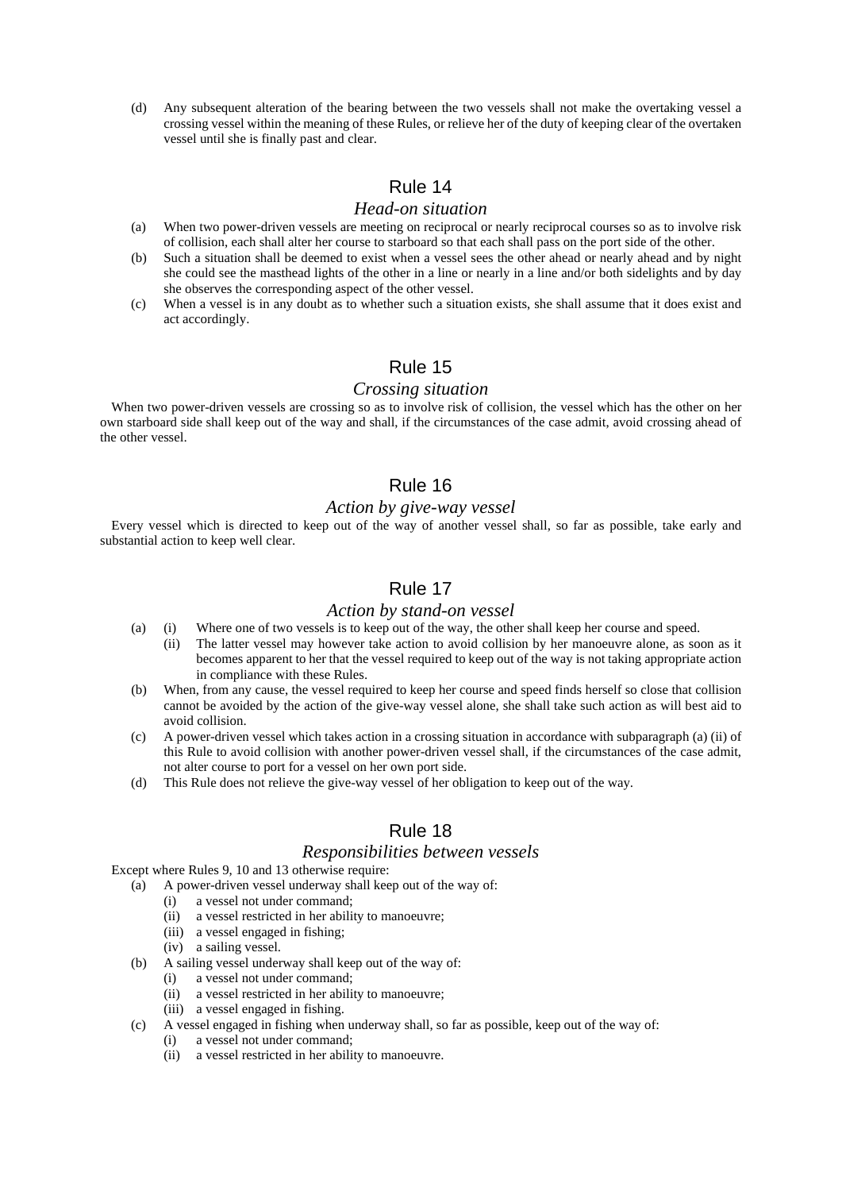(d) Any subsequent alteration of the bearing between the two vessels shall not make the overtaking vessel a crossing vessel within the meaning of these Rules, or relieve her of the duty of keeping clear of the overtaken vessel until she is finally past and clear.

### Rule 14

### *Head-on situation*

- (a) When two power-driven vessels are meeting on reciprocal or nearly reciprocal courses so as to involve risk of collision, each shall alter her course to starboard so that each shall pass on the port side of the other.
- (b) Such a situation shall be deemed to exist when a vessel sees the other ahead or nearly ahead and by night she could see the masthead lights of the other in a line or nearly in a line and/or both sidelights and by day she observes the corresponding aspect of the other vessel.
- (c) When a vessel is in any doubt as to whether such a situation exists, she shall assume that it does exist and act accordingly.

### Rule 15

#### *Crossing situation*

When two power-driven vessels are crossing so as to involve risk of collision, the vessel which has the other on her own starboard side shall keep out of the way and shall, if the circumstances of the case admit, avoid crossing ahead of the other vessel.

### Rule 16

#### *Action by give-way vessel*

Every vessel which is directed to keep out of the way of another vessel shall, so far as possible, take early and substantial action to keep well clear.

### Rule 17

#### *Action by stand-on vessel*

- (a) (i) Where one of two vessels is to keep out of the way, the other shall keep her course and speed.
	- (ii) The latter vessel may however take action to avoid collision by her manoeuvre alone, as soon as it becomes apparent to her that the vessel required to keep out of the way is not taking appropriate action in compliance with these Rules.
- (b) When, from any cause, the vessel required to keep her course and speed finds herself so close that collision cannot be avoided by the action of the give-way vessel alone, she shall take such action as will best aid to avoid collision.
- (c) A power-driven vessel which takes action in a crossing situation in accordance with subparagraph (a) (ii) of this Rule to avoid collision with another power-driven vessel shall, if the circumstances of the case admit, not alter course to port for a vessel on her own port side.
- (d) This Rule does not relieve the give-way vessel of her obligation to keep out of the way.

### Rule 18

#### *Responsibilities between vessels*

Except where Rules 9, 10 and 13 otherwise require:

- (a) A power-driven vessel underway shall keep out of the way of:
	- (i) a vessel not under command;
	- (ii) a vessel restricted in her ability to manoeuvre;
	- (iii) a vessel engaged in fishing;
	- (iv) a sailing vessel.
- (b) A sailing vessel underway shall keep out of the way of:
	- (i) a vessel not under command;
	- (ii) a vessel restricted in her ability to manoeuvre;
	- (iii) a vessel engaged in fishing.
- (c) A vessel engaged in fishing when underway shall, so far as possible, keep out of the way of:
	- (i) a vessel not under command;
	- (ii) a vessel restricted in her ability to manoeuvre.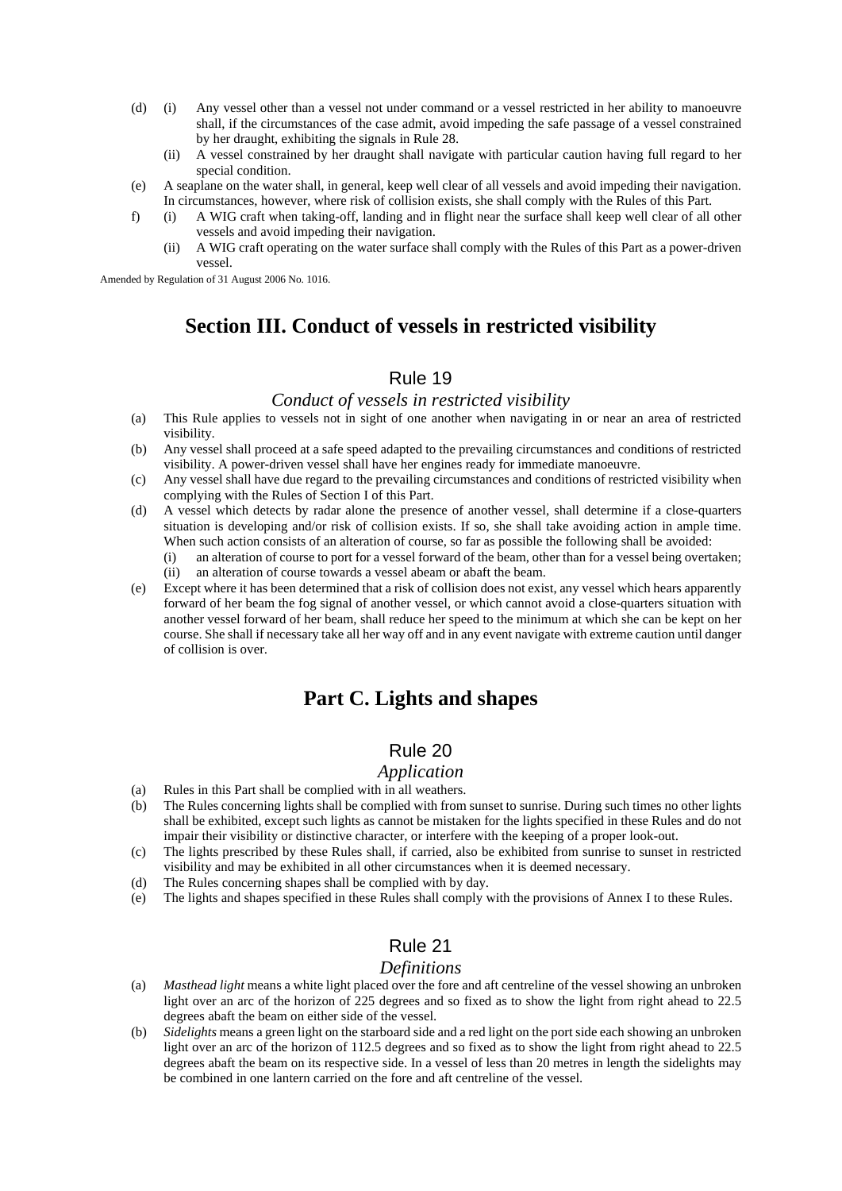- (d) (i) Any vessel other than a vessel not under command or a vessel restricted in her ability to manoeuvre shall, if the circumstances of the case admit, avoid impeding the safe passage of a vessel constrained by her draught, exhibiting the signals in Rule 28.
	- (ii) A vessel constrained by her draught shall navigate with particular caution having full regard to her special condition.
- (e) A seaplane on the water shall, in general, keep well clear of all vessels and avoid impeding their navigation.
- In circumstances, however, where risk of collision exists, she shall comply with the Rules of this Part. f) (i) A WIG craft when taking-off, landing and in flight near the surface shall keep well clear of all other
	- vessels and avoid impeding their navigation.
		- (ii) A WIG craft operating on the water surface shall comply with the Rules of this Part as a power-driven vessel.

Amended by Regulation of 31 August 2006 No. 1016.

# **Section III. Conduct of vessels in restricted visibility**

### Rule 19

### *Conduct of vessels in restricted visibility*

- (a) This Rule applies to vessels not in sight of one another when navigating in or near an area of restricted visibility.
- (b) Any vessel shall proceed at a safe speed adapted to the prevailing circumstances and conditions of restricted visibility. A power-driven vessel shall have her engines ready for immediate manoeuvre.
- (c) Any vessel shall have due regard to the prevailing circumstances and conditions of restricted visibility when complying with the Rules of Section I of this Part.
- (d) A vessel which detects by radar alone the presence of another vessel, shall determine if a close-quarters situation is developing and/or risk of collision exists. If so, she shall take avoiding action in ample time. When such action consists of an alteration of course, so far as possible the following shall be avoided:
	- (i) an alteration of course to port for a vessel forward of the beam, other than for a vessel being overtaken; (ii) an alteration of course towards a vessel abeam or abaft the beam.
- (e) Except where it has been determined that a risk of collision does not exist, any vessel which hears apparently forward of her beam the fog signal of another vessel, or which cannot avoid a close-quarters situation with another vessel forward of her beam, shall reduce her speed to the minimum at which she can be kept on her course. She shall if necessary take all her way off and in any event navigate with extreme caution until danger of collision is over.

# **Part C. Lights and shapes**

### Rule 20

### *Application*

- (a) Rules in this Part shall be complied with in all weathers.
- (b) The Rules concerning lights shall be complied with from sunset to sunrise. During such times no other lights shall be exhibited, except such lights as cannot be mistaken for the lights specified in these Rules and do not impair their visibility or distinctive character, or interfere with the keeping of a proper look-out.
- (c) The lights prescribed by these Rules shall, if carried, also be exhibited from sunrise to sunset in restricted visibility and may be exhibited in all other circumstances when it is deemed necessary.
- (d) The Rules concerning shapes shall be complied with by day.
- (e) The lights and shapes specified in these Rules shall comply with the provisions of Annex I to these Rules.

## Rule 21

### *Definitions*

- (a) *Masthead light* means a white light placed over the fore and aft centreline of the vessel showing an unbroken light over an arc of the horizon of 225 degrees and so fixed as to show the light from right ahead to 22.5 degrees abaft the beam on either side of the vessel.
- (b) *Sidelights* means a green light on the starboard side and a red light on the port side each showing an unbroken light over an arc of the horizon of 112.5 degrees and so fixed as to show the light from right ahead to 22.5 degrees abaft the beam on its respective side. In a vessel of less than 20 metres in length the sidelights may be combined in one lantern carried on the fore and aft centreline of the vessel.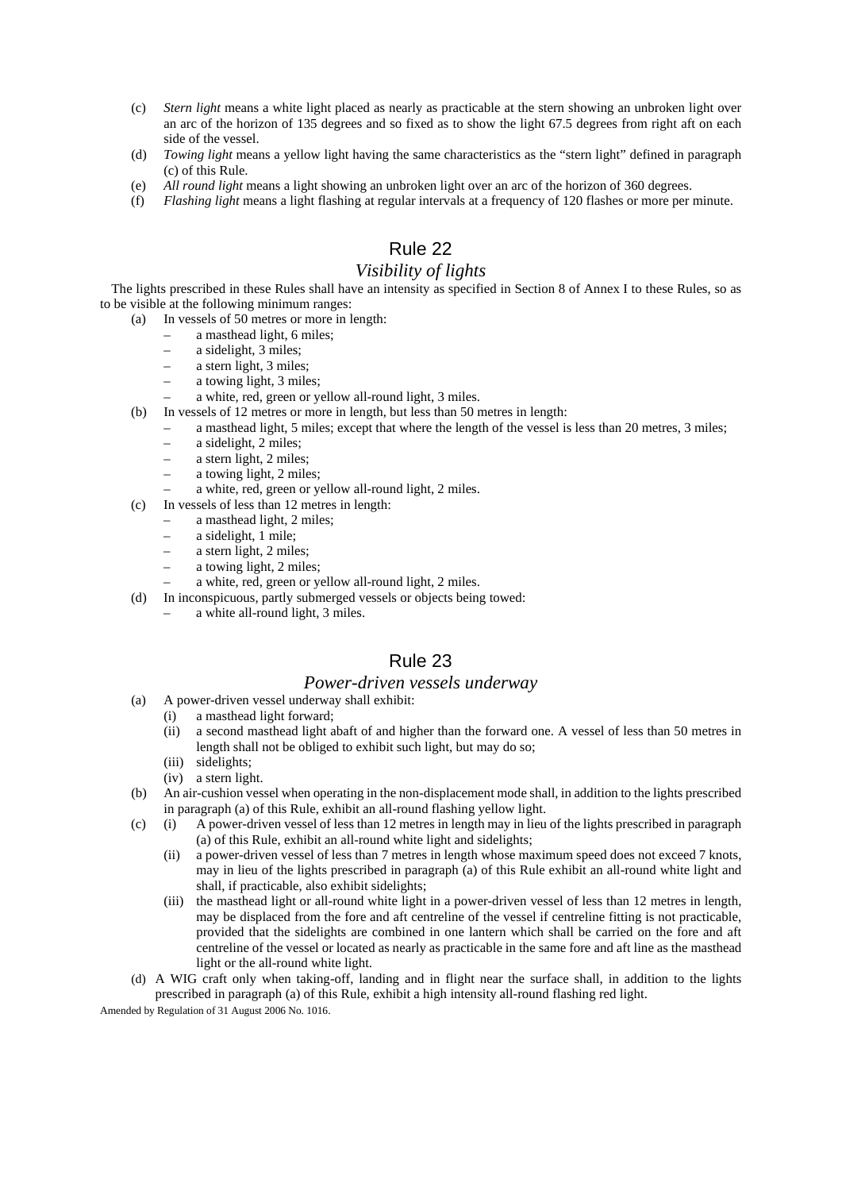- (c) *Stern light* means a white light placed as nearly as practicable at the stern showing an unbroken light over an arc of the horizon of 135 degrees and so fixed as to show the light 67.5 degrees from right aft on each side of the vessel.
- (d) *Towing light* means a yellow light having the same characteristics as the "stern light" defined in paragraph (c) of this Rule.
- (e) *All round light* means a light showing an unbroken light over an arc of the horizon of 360 degrees.
- (f) *Flashing light* means a light flashing at regular intervals at a frequency of 120 flashes or more per minute.

### *Visibility of lights*

The lights prescribed in these Rules shall have an intensity as specified in Section 8 of Annex I to these Rules, so as to be visible at the following minimum ranges:

- (a) In vessels of 50 metres or more in length:
	- a masthead light, 6 miles;
	- a sidelight, 3 miles;
	- a stern light, 3 miles;
	- a towing light, 3 miles;
	- a white, red, green or yellow all-round light, 3 miles.
- (b) In vessels of 12 metres or more in length, but less than 50 metres in length:
	- a masthead light, 5 miles; except that where the length of the vessel is less than 20 metres, 3 miles;
		- a sidelight, 2 miles;
		- a stern light, 2 miles;
		- a towing light, 2 miles;
	- a white, red, green or yellow all-round light, 2 miles.
- (c) In vessels of less than 12 metres in length:
	- a masthead light, 2 miles;
	- a sidelight, 1 mile;
	- a stern light, 2 miles;
	- a towing light, 2 miles;
	- a white, red, green or yellow all-round light, 2 miles.
- (d) In inconspicuous, partly submerged vessels or objects being towed:
	- a white all-round light, 3 miles.

## Rule 23

#### *Power-driven vessels underway*

- (a) A power-driven vessel underway shall exhibit:
	- (i) a masthead light forward;
	- (ii) a second masthead light abaft of and higher than the forward one. A vessel of less than 50 metres in length shall not be obliged to exhibit such light, but may do so;
	- (iii) sidelights;
	- (iv) a stern light.
- (b) An air-cushion vessel when operating in the non-displacement mode shall, in addition to the lights prescribed in paragraph (a) of this Rule, exhibit an all-round flashing yellow light.
- (c) (i) A power-driven vessel of less than 12 metres in length may in lieu of the lights prescribed in paragraph (a) of this Rule, exhibit an all-round white light and sidelights;
	- (ii) a power-driven vessel of less than 7 metres in length whose maximum speed does not exceed 7 knots, may in lieu of the lights prescribed in paragraph (a) of this Rule exhibit an all-round white light and shall, if practicable, also exhibit sidelights;
	- (iii) the masthead light or all-round white light in a power-driven vessel of less than 12 metres in length, may be displaced from the fore and aft centreline of the vessel if centreline fitting is not practicable, provided that the sidelights are combined in one lantern which shall be carried on the fore and aft centreline of the vessel or located as nearly as practicable in the same fore and aft line as the masthead light or the all-round white light.
- (d) A WIG craft only when taking-off, landing and in flight near the surface shall, in addition to the lights prescribed in paragraph (a) of this Rule, exhibit a high intensity all-round flashing red light.

Amended by Regulation of 31 August 2006 No. 1016.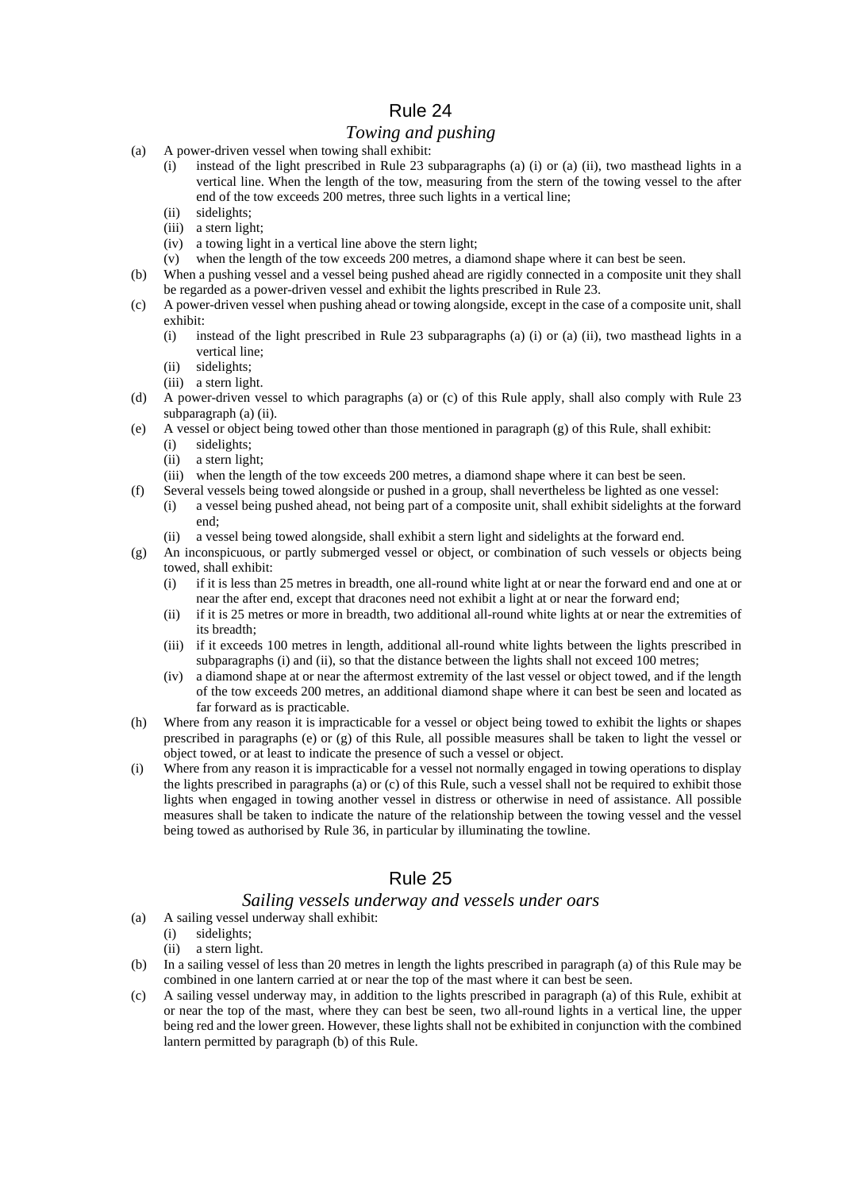## *Towing and pushing*

- (a) A power-driven vessel when towing shall exhibit:
	- instead of the light prescribed in Rule 23 subparagraphs (a) (i) or (a) (ii), two masthead lights in a vertical line. When the length of the tow, measuring from the stern of the towing vessel to the after end of the tow exceeds 200 metres, three such lights in a vertical line;
	- (ii) sidelights;
	- $(iii)$  a stern light;
	- (iv) a towing light in a vertical line above the stern light;
	- (v) when the length of the tow exceeds 200 metres, a diamond shape where it can best be seen.
- (b) When a pushing vessel and a vessel being pushed ahead are rigidly connected in a composite unit they shall be regarded as a power-driven vessel and exhibit the lights prescribed in Rule 23.
- (c) A power-driven vessel when pushing ahead or towing alongside, except in the case of a composite unit, shall exhibit:
	- (i) instead of the light prescribed in Rule 23 subparagraphs (a) (i) or (a) (ii), two masthead lights in a vertical line;
	- (ii) sidelights;
	- (iii) a stern light.
- (d) A power-driven vessel to which paragraphs (a) or (c) of this Rule apply, shall also comply with Rule 23 subparagraph (a) (ii).
- (e) A vessel or object being towed other than those mentioned in paragraph (g) of this Rule, shall exhibit:
	- (i) sidelights;
	- (ii) a stern light;
	- (iii) when the length of the tow exceeds 200 metres, a diamond shape where it can best be seen.
- (f) Several vessels being towed alongside or pushed in a group, shall nevertheless be lighted as one vessel:
	- (i) a vessel being pushed ahead, not being part of a composite unit, shall exhibit sidelights at the forward end;
	- (ii) a vessel being towed alongside, shall exhibit a stern light and sidelights at the forward end.
- (g) An inconspicuous, or partly submerged vessel or object, or combination of such vessels or objects being towed, shall exhibit:
	- (i) if it is less than 25 metres in breadth, one all-round white light at or near the forward end and one at or near the after end, except that dracones need not exhibit a light at or near the forward end;
	- (ii) if it is 25 metres or more in breadth, two additional all-round white lights at or near the extremities of its breadth;
	- (iii) if it exceeds 100 metres in length, additional all-round white lights between the lights prescribed in subparagraphs (i) and (ii), so that the distance between the lights shall not exceed 100 metres;
	- (iv) a diamond shape at or near the aftermost extremity of the last vessel or object towed, and if the length of the tow exceeds 200 metres, an additional diamond shape where it can best be seen and located as far forward as is practicable.
- (h) Where from any reason it is impracticable for a vessel or object being towed to exhibit the lights or shapes prescribed in paragraphs (e) or  $(g)$  of this Rule, all possible measures shall be taken to light the vessel or object towed, or at least to indicate the presence of such a vessel or object.
- (i) Where from any reason it is impracticable for a vessel not normally engaged in towing operations to display the lights prescribed in paragraphs (a) or (c) of this Rule, such a vessel shall not be required to exhibit those lights when engaged in towing another vessel in distress or otherwise in need of assistance. All possible measures shall be taken to indicate the nature of the relationship between the towing vessel and the vessel being towed as authorised by Rule 36, in particular by illuminating the towline.

## Rule 25

## *Sailing vessels underway and vessels under oars*

- (a) A sailing vessel underway shall exhibit:
	- (i) sidelights;
	- (ii) a stern light.
- (b) In a sailing vessel of less than 20 metres in length the lights prescribed in paragraph (a) of this Rule may be combined in one lantern carried at or near the top of the mast where it can best be seen.
- (c) A sailing vessel underway may, in addition to the lights prescribed in paragraph (a) of this Rule, exhibit at or near the top of the mast, where they can best be seen, two all-round lights in a vertical line, the upper being red and the lower green. However, these lights shall not be exhibited in conjunction with the combined lantern permitted by paragraph (b) of this Rule.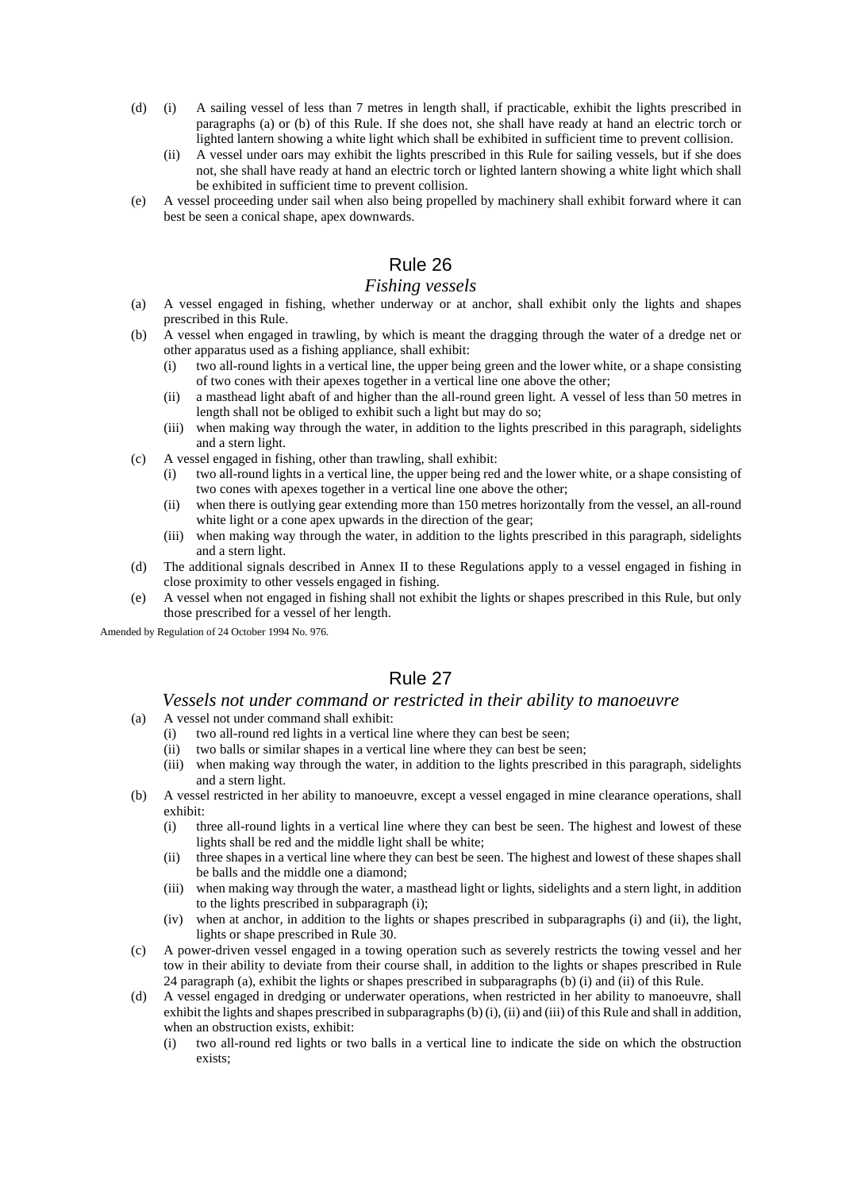- (d) (i) A sailing vessel of less than 7 metres in length shall, if practicable, exhibit the lights prescribed in paragraphs (a) or (b) of this Rule. If she does not, she shall have ready at hand an electric torch or lighted lantern showing a white light which shall be exhibited in sufficient time to prevent collision.
	- (ii) A vessel under oars may exhibit the lights prescribed in this Rule for sailing vessels, but if she does not, she shall have ready at hand an electric torch or lighted lantern showing a white light which shall be exhibited in sufficient time to prevent collision.
- (e) A vessel proceeding under sail when also being propelled by machinery shall exhibit forward where it can best be seen a conical shape, apex downwards.

#### *Fishing vessels*

- (a) A vessel engaged in fishing, whether underway or at anchor, shall exhibit only the lights and shapes prescribed in this Rule.
- (b) A vessel when engaged in trawling, by which is meant the dragging through the water of a dredge net or other apparatus used as a fishing appliance, shall exhibit:
	- (i) two all-round lights in a vertical line, the upper being green and the lower white, or a shape consisting of two cones with their apexes together in a vertical line one above the other;
	- (ii) a masthead light abaft of and higher than the all-round green light. A vessel of less than 50 metres in length shall not be obliged to exhibit such a light but may do so;
	- (iii) when making way through the water, in addition to the lights prescribed in this paragraph, sidelights and a stern light.
- (c) A vessel engaged in fishing, other than trawling, shall exhibit:
	- (i) two all-round lights in a vertical line, the upper being red and the lower white, or a shape consisting of two cones with apexes together in a vertical line one above the other;
	- (ii) when there is outlying gear extending more than 150 metres horizontally from the vessel, an all-round white light or a cone apex upwards in the direction of the gear:
	- (iii) when making way through the water, in addition to the lights prescribed in this paragraph, sidelights and a stern light.
- (d) The additional signals described in Annex II to these Regulations apply to a vessel engaged in fishing in close proximity to other vessels engaged in fishing.
- (e) A vessel when not engaged in fishing shall not exhibit the lights or shapes prescribed in this Rule, but only those prescribed for a vessel of her length.

Amended by Regulation of 24 October 1994 No. 976.

## Rule 27

## *Vessels not under command or restricted in their ability to manoeuvre*

- (a) A vessel not under command shall exhibit:
	- (i) two all-round red lights in a vertical line where they can best be seen;
	- (ii) two balls or similar shapes in a vertical line where they can best be seen;
	- (iii) when making way through the water, in addition to the lights prescribed in this paragraph, sidelights and a stern light.
- (b) A vessel restricted in her ability to manoeuvre, except a vessel engaged in mine clearance operations, shall exhibit:
	- (i) three all-round lights in a vertical line where they can best be seen. The highest and lowest of these lights shall be red and the middle light shall be white;
	- (ii) three shapes in a vertical line where they can best be seen. The highest and lowest of these shapes shall be balls and the middle one a diamond;
	- (iii) when making way through the water, a masthead light or lights, sidelights and a stern light, in addition to the lights prescribed in subparagraph (i);
	- (iv) when at anchor, in addition to the lights or shapes prescribed in subparagraphs (i) and (ii), the light, lights or shape prescribed in Rule 30.
- (c) A power-driven vessel engaged in a towing operation such as severely restricts the towing vessel and her tow in their ability to deviate from their course shall, in addition to the lights or shapes prescribed in Rule 24 paragraph (a), exhibit the lights or shapes prescribed in subparagraphs (b) (i) and (ii) of this Rule.
- (d) A vessel engaged in dredging or underwater operations, when restricted in her ability to manoeuvre, shall exhibit the lights and shapes prescribed in subparagraphs (b) (i), (ii) and (iii) of this Rule and shall in addition, when an obstruction exists, exhibit:
	- (i) two all-round red lights or two balls in a vertical line to indicate the side on which the obstruction exists;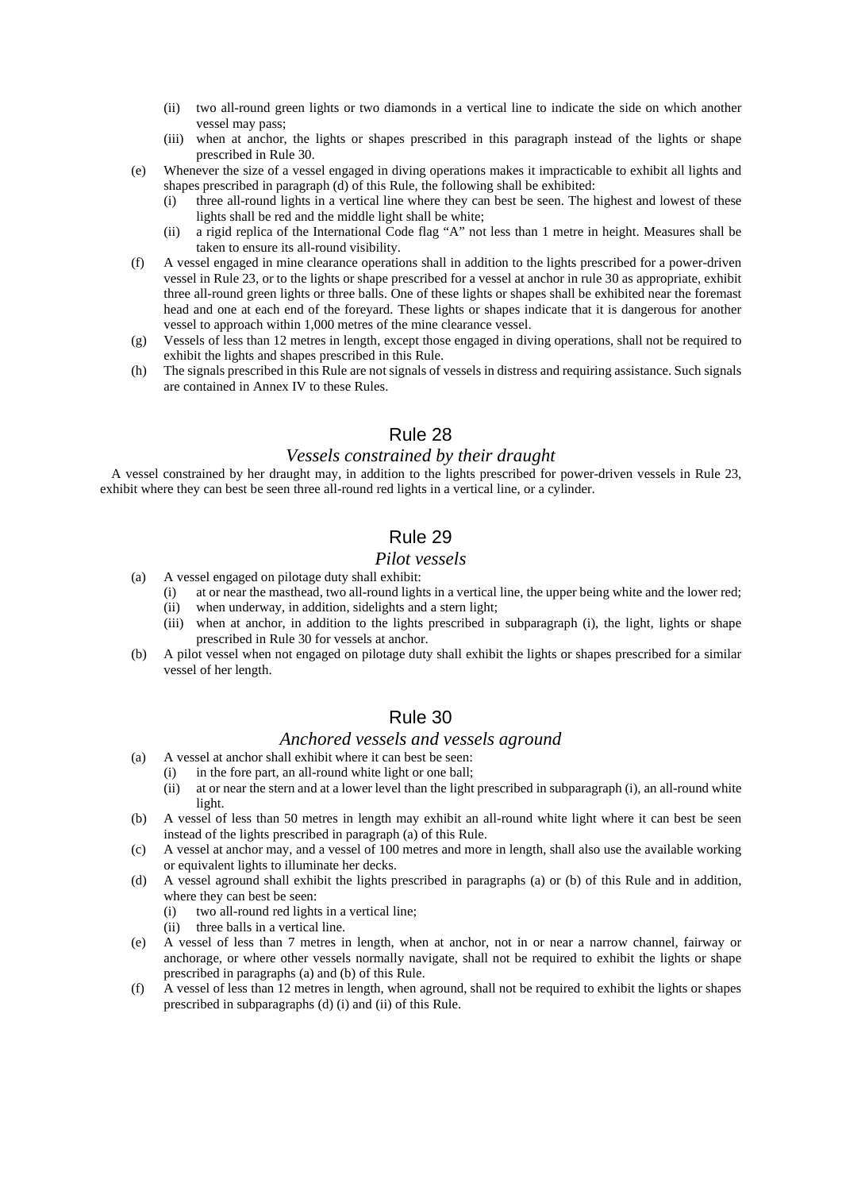- (ii) two all-round green lights or two diamonds in a vertical line to indicate the side on which another vessel may pass;
- (iii) when at anchor, the lights or shapes prescribed in this paragraph instead of the lights or shape prescribed in Rule 30.
- (e) Whenever the size of a vessel engaged in diving operations makes it impracticable to exhibit all lights and shapes prescribed in paragraph (d) of this Rule, the following shall be exhibited:
	- (i) three all-round lights in a vertical line where they can best be seen. The highest and lowest of these lights shall be red and the middle light shall be white;
	- (ii) a rigid replica of the International Code flag "A" not less than 1 metre in height. Measures shall be taken to ensure its all-round visibility.
- (f) A vessel engaged in mine clearance operations shall in addition to the lights prescribed for a power-driven vessel in Rule 23, or to the lights or shape prescribed for a vessel at anchor in rule 30 as appropriate, exhibit three all-round green lights or three balls. One of these lights or shapes shall be exhibited near the foremast head and one at each end of the foreyard. These lights or shapes indicate that it is dangerous for another vessel to approach within 1,000 metres of the mine clearance vessel.
- (g) Vessels of less than 12 metres in length, except those engaged in diving operations, shall not be required to exhibit the lights and shapes prescribed in this Rule.
- (h) The signals prescribed in this Rule are not signals of vessels in distress and requiring assistance. Such signals are contained in Annex IV to these Rules.

### *Vessels constrained by their draught*

A vessel constrained by her draught may, in addition to the lights prescribed for power-driven vessels in Rule 23, exhibit where they can best be seen three all-round red lights in a vertical line, or a cylinder.

## Rule 29

### *Pilot vessels*

- (a) A vessel engaged on pilotage duty shall exhibit:
	- (i) at or near the masthead, two all-round lights in a vertical line, the upper being white and the lower red;
	- (ii) when underway, in addition, sidelights and a stern light;
	- (iii) when at anchor, in addition to the lights prescribed in subparagraph (i), the light, lights or shape prescribed in Rule 30 for vessels at anchor.
- (b) A pilot vessel when not engaged on pilotage duty shall exhibit the lights or shapes prescribed for a similar vessel of her length.

### Rule 30

#### *Anchored vessels and vessels aground*

- (a) A vessel at anchor shall exhibit where it can best be seen:
	- (i) in the fore part, an all-round white light or one ball;
	- (ii) at or near the stern and at a lower level than the light prescribed in subparagraph (i), an all-round white light.
- (b) A vessel of less than 50 metres in length may exhibit an all-round white light where it can best be seen instead of the lights prescribed in paragraph (a) of this Rule.
- (c) A vessel at anchor may, and a vessel of 100 metres and more in length, shall also use the available working or equivalent lights to illuminate her decks.
- (d) A vessel aground shall exhibit the lights prescribed in paragraphs (a) or (b) of this Rule and in addition, where they can best be seen:
	- (i) two all-round red lights in a vertical line;
	- (ii) three balls in a vertical line.
- (e) A vessel of less than 7 metres in length, when at anchor, not in or near a narrow channel, fairway or anchorage, or where other vessels normally navigate, shall not be required to exhibit the lights or shape prescribed in paragraphs (a) and (b) of this Rule.
- (f) A vessel of less than 12 metres in length, when aground, shall not be required to exhibit the lights or shapes prescribed in subparagraphs (d) (i) and (ii) of this Rule.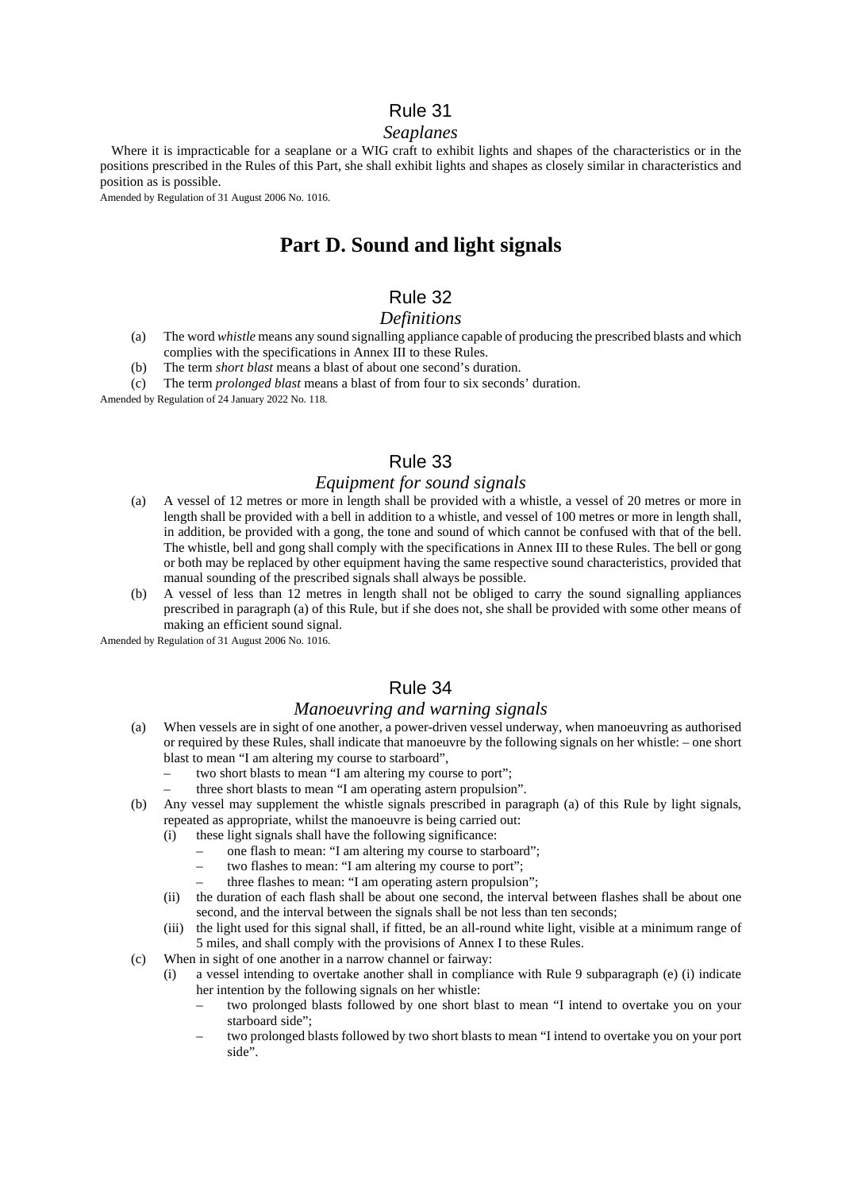### *Seaplanes*

Where it is impracticable for a seaplane or a WIG craft to exhibit lights and shapes of the characteristics or in the positions prescribed in the Rules of this Part, she shall exhibit lights and shapes as closely similar in characteristics and position as is possible.

Amended by Regulation of 31 August 2006 No. 1016.

## **Part D. Sound and light signals**

### Rule 32

#### *Definitions*

- (a) The word *whistle* means any sound signalling appliance capable of producing the prescribed blasts and which complies with the specifications in Annex III to these Rules.
- (b) The term *short blast* means a blast of about one second's duration.
- (c) The term *prolonged blast* means a blast of from four to six seconds' duration.

Amended by Regulation of 24 January 2022 No. 118.

### Rule 33

#### *Equipment for sound signals*

- (a) A vessel of 12 metres or more in length shall be provided with a whistle, a vessel of 20 metres or more in length shall be provided with a bell in addition to a whistle, and vessel of 100 metres or more in length shall, in addition, be provided with a gong, the tone and sound of which cannot be confused with that of the bell. The whistle, bell and gong shall comply with the specifications in Annex III to these Rules. The bell or gong or both may be replaced by other equipment having the same respective sound characteristics, provided that manual sounding of the prescribed signals shall always be possible.
- (b) A vessel of less than 12 metres in length shall not be obliged to carry the sound signalling appliances prescribed in paragraph (a) of this Rule, but if she does not, she shall be provided with some other means of making an efficient sound signal.

Amended by Regulation of 31 August 2006 No. 1016.

### Rule 34

#### *Manoeuvring and warning signals*

- (a) When vessels are in sight of one another, a power-driven vessel underway, when manoeuvring as authorised or required by these Rules, shall indicate that manoeuvre by the following signals on her whistle: – one short blast to mean "I am altering my course to starboard",
	- two short blasts to mean "I am altering my course to port";
	- three short blasts to mean "I am operating astern propulsion".
- (b) Any vessel may supplement the whistle signals prescribed in paragraph (a) of this Rule by light signals, repeated as appropriate, whilst the manoeuvre is being carried out:
	- (i) these light signals shall have the following significance:
		- one flash to mean: "I am altering my course to starboard";
			- two flashes to mean: "I am altering my course to port";
			- three flashes to mean: "I am operating astern propulsion";
	- (ii) the duration of each flash shall be about one second, the interval between flashes shall be about one second, and the interval between the signals shall be not less than ten seconds;
	- (iii) the light used for this signal shall, if fitted, be an all-round white light, visible at a minimum range of 5 miles, and shall comply with the provisions of Annex I to these Rules.
- (c) When in sight of one another in a narrow channel or fairway:
	- (i) a vessel intending to overtake another shall in compliance with Rule 9 subparagraph (e) (i) indicate her intention by the following signals on her whistle:
		- two prolonged blasts followed by one short blast to mean "I intend to overtake you on your starboard side";
		- two prolonged blasts followed by two short blasts to mean "I intend to overtake you on your port side".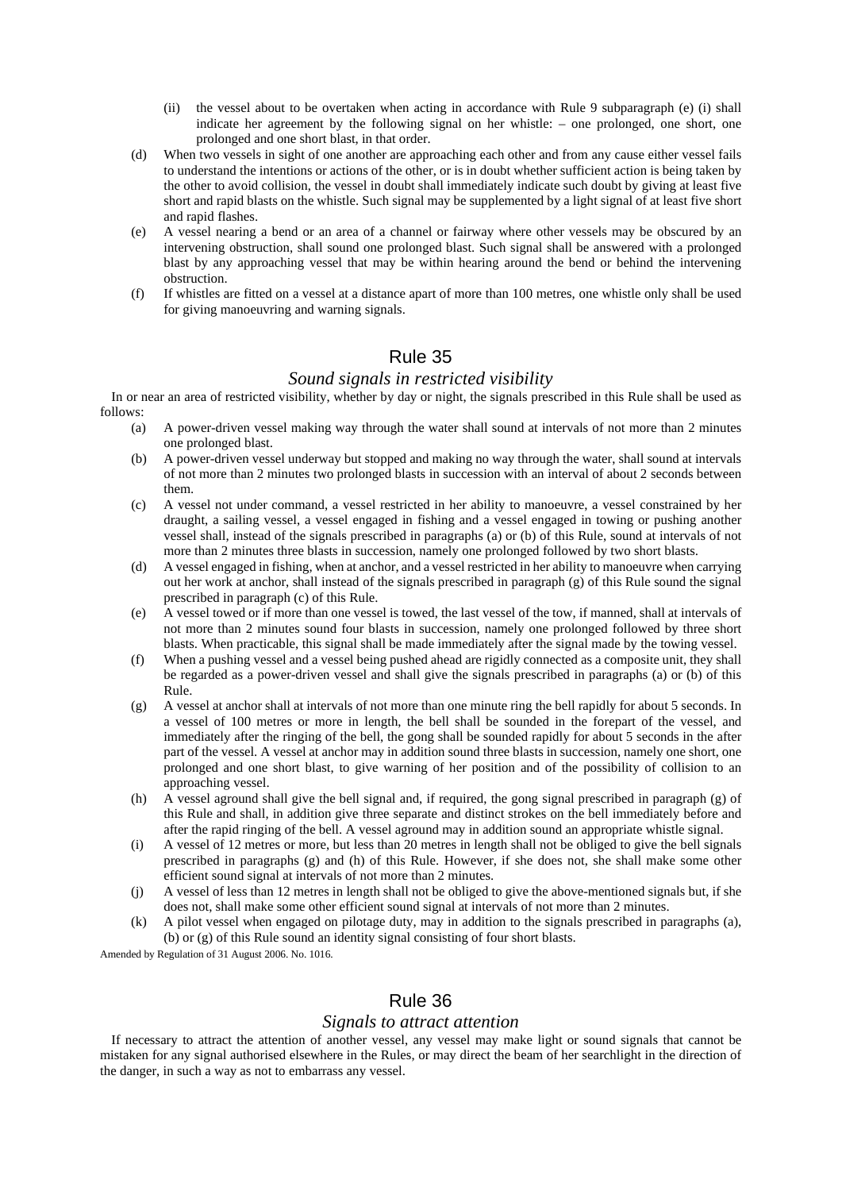- (ii) the vessel about to be overtaken when acting in accordance with Rule 9 subparagraph (e) (i) shall indicate her agreement by the following signal on her whistle: – one prolonged, one short, one prolonged and one short blast, in that order.
- (d) When two vessels in sight of one another are approaching each other and from any cause either vessel fails to understand the intentions or actions of the other, or is in doubt whether sufficient action is being taken by the other to avoid collision, the vessel in doubt shall immediately indicate such doubt by giving at least five short and rapid blasts on the whistle. Such signal may be supplemented by a light signal of at least five short and rapid flashes.
- (e) A vessel nearing a bend or an area of a channel or fairway where other vessels may be obscured by an intervening obstruction, shall sound one prolonged blast. Such signal shall be answered with a prolonged blast by any approaching vessel that may be within hearing around the bend or behind the intervening obstruction.
- (f) If whistles are fitted on a vessel at a distance apart of more than 100 metres, one whistle only shall be used for giving manoeuvring and warning signals.

### *Sound signals in restricted visibility*

In or near an area of restricted visibility, whether by day or night, the signals prescribed in this Rule shall be used as follows:

- (a) A power-driven vessel making way through the water shall sound at intervals of not more than 2 minutes one prolonged blast.
- (b) A power-driven vessel underway but stopped and making no way through the water, shall sound at intervals of not more than 2 minutes two prolonged blasts in succession with an interval of about 2 seconds between them.
- (c) A vessel not under command, a vessel restricted in her ability to manoeuvre, a vessel constrained by her draught, a sailing vessel, a vessel engaged in fishing and a vessel engaged in towing or pushing another vessel shall, instead of the signals prescribed in paragraphs (a) or (b) of this Rule, sound at intervals of not more than 2 minutes three blasts in succession, namely one prolonged followed by two short blasts.
- (d) A vessel engaged in fishing, when at anchor, and a vessel restricted in her ability to manoeuvre when carrying out her work at anchor, shall instead of the signals prescribed in paragraph (g) of this Rule sound the signal prescribed in paragraph (c) of this Rule.
- (e) A vessel towed or if more than one vessel is towed, the last vessel of the tow, if manned, shall at intervals of not more than 2 minutes sound four blasts in succession, namely one prolonged followed by three short blasts. When practicable, this signal shall be made immediately after the signal made by the towing vessel.
- (f) When a pushing vessel and a vessel being pushed ahead are rigidly connected as a composite unit, they shall be regarded as a power-driven vessel and shall give the signals prescribed in paragraphs (a) or (b) of this Rule.
- (g) A vessel at anchor shall at intervals of not more than one minute ring the bell rapidly for about 5 seconds. In a vessel of 100 metres or more in length, the bell shall be sounded in the forepart of the vessel, and immediately after the ringing of the bell, the gong shall be sounded rapidly for about 5 seconds in the after part of the vessel. A vessel at anchor may in addition sound three blasts in succession, namely one short, one prolonged and one short blast, to give warning of her position and of the possibility of collision to an approaching vessel.
- (h) A vessel aground shall give the bell signal and, if required, the gong signal prescribed in paragraph (g) of this Rule and shall, in addition give three separate and distinct strokes on the bell immediately before and after the rapid ringing of the bell. A vessel aground may in addition sound an appropriate whistle signal.
- (i) A vessel of 12 metres or more, but less than 20 metres in length shall not be obliged to give the bell signals prescribed in paragraphs (g) and (h) of this Rule. However, if she does not, she shall make some other efficient sound signal at intervals of not more than 2 minutes.
- (j) A vessel of less than 12 metres in length shall not be obliged to give the above-mentioned signals but, if she does not, shall make some other efficient sound signal at intervals of not more than 2 minutes.
- (k) A pilot vessel when engaged on pilotage duty, may in addition to the signals prescribed in paragraphs (a), (b) or (g) of this Rule sound an identity signal consisting of four short blasts.

Amended by Regulation of 31 August 2006. No. 1016.

## Rule 36

### *Signals to attract attention*

If necessary to attract the attention of another vessel, any vessel may make light or sound signals that cannot be mistaken for any signal authorised elsewhere in the Rules, or may direct the beam of her searchlight in the direction of the danger, in such a way as not to embarrass any vessel.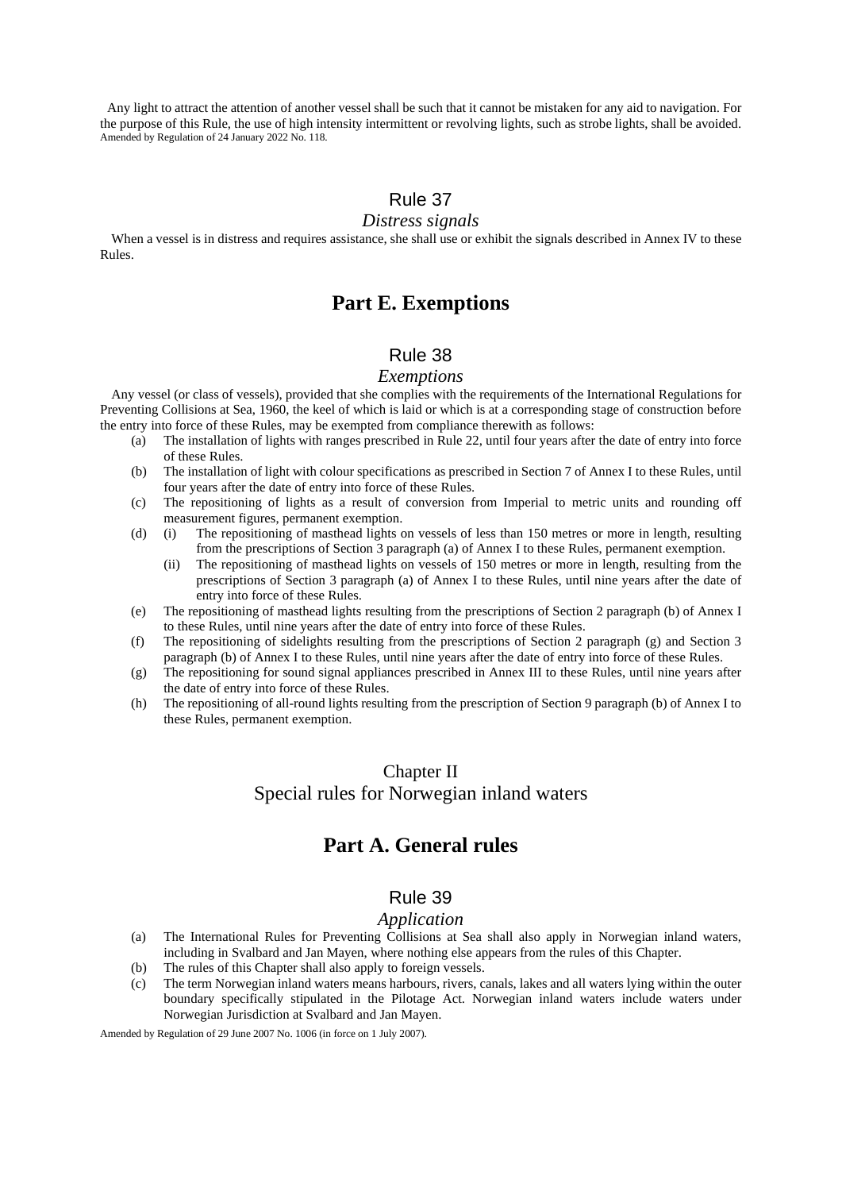Any light to attract the attention of another vessel shall be such that it cannot be mistaken for any aid to navigation. For the purpose of this Rule, the use of high intensity intermittent or revolving lights, such as strobe lights, shall be avoided. Amended by Regulation of 24 January 2022 No. 118.

## Rule 37

#### *Distress signals*

When a vessel is in distress and requires assistance, she shall use or exhibit the signals described in Annex IV to these Rules.

## **Part E. Exemptions**

### Rule 38

#### *Exemptions*

Any vessel (or class of vessels), provided that she complies with the requirements of the International Regulations for Preventing Collisions at Sea, 1960, the keel of which is laid or which is at a corresponding stage of construction before the entry into force of these Rules, may be exempted from compliance therewith as follows:

- (a) The installation of lights with ranges prescribed in Rule 22, until four years after the date of entry into force of these Rules.
- (b) The installation of light with colour specifications as prescribed in Section 7 of Annex I to these Rules, until four years after the date of entry into force of these Rules.
- (c) The repositioning of lights as a result of conversion from Imperial to metric units and rounding off measurement figures, permanent exemption.
- (d) (i) The repositioning of masthead lights on vessels of less than 150 metres or more in length, resulting from the prescriptions of Section 3 paragraph (a) of Annex I to these Rules, permanent exemption.
	- (ii) The repositioning of masthead lights on vessels of 150 metres or more in length, resulting from the prescriptions of Section 3 paragraph (a) of Annex I to these Rules, until nine years after the date of entry into force of these Rules.
- (e) The repositioning of masthead lights resulting from the prescriptions of Section 2 paragraph (b) of Annex I to these Rules, until nine years after the date of entry into force of these Rules.
- (f) The repositioning of sidelights resulting from the prescriptions of Section 2 paragraph (g) and Section 3 paragraph (b) of Annex I to these Rules, until nine years after the date of entry into force of these Rules.
- (g) The repositioning for sound signal appliances prescribed in Annex III to these Rules, until nine years after the date of entry into force of these Rules.
- (h) The repositioning of all-round lights resulting from the prescription of Section 9 paragraph (b) of Annex I to these Rules, permanent exemption.

## Chapter II Special rules for Norwegian inland waters

## **Part A. General rules**

## Rule 39

#### *Application*

- (a) The International Rules for Preventing Collisions at Sea shall also apply in Norwegian inland waters, including in Svalbard and Jan Mayen, where nothing else appears from the rules of this Chapter.
- (b) The rules of this Chapter shall also apply to foreign vessels.
- (c) The term Norwegian inland waters means harbours, rivers, canals, lakes and all waters lying within the outer boundary specifically stipulated in the Pilotage Act. Norwegian inland waters include waters under Norwegian Jurisdiction at Svalbard and Jan Mayen.

Amended by Regulation of 29 June 2007 No. 1006 (in force on 1 July 2007).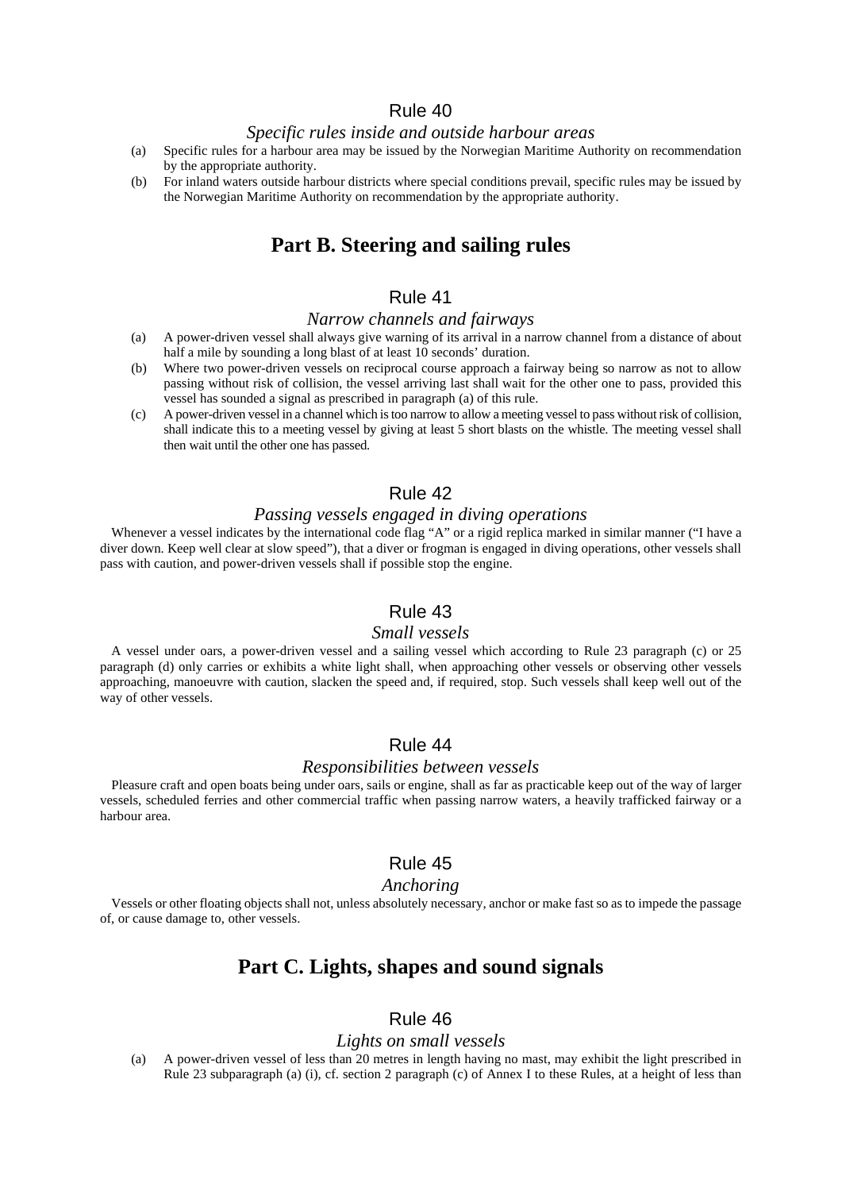## *Specific rules inside and outside harbour areas*

- (a) Specific rules for a harbour area may be issued by the Norwegian Maritime Authority on recommendation by the appropriate authority.
- (b) For inland waters outside harbour districts where special conditions prevail, specific rules may be issued by the Norwegian Maritime Authority on recommendation by the appropriate authority.

## **Part B. Steering and sailing rules**

### Rule 41

### *Narrow channels and fairways*

- (a) A power-driven vessel shall always give warning of its arrival in a narrow channel from a distance of about half a mile by sounding a long blast of at least 10 seconds' duration.
- (b) Where two power-driven vessels on reciprocal course approach a fairway being so narrow as not to allow passing without risk of collision, the vessel arriving last shall wait for the other one to pass, provided this vessel has sounded a signal as prescribed in paragraph (a) of this rule.
- (c) A power-driven vessel in a channel which is too narrow to allow a meeting vessel to pass without risk of collision, shall indicate this to a meeting vessel by giving at least 5 short blasts on the whistle. The meeting vessel shall then wait until the other one has passed.

### Rule 42

#### *Passing vessels engaged in diving operations*

Whenever a vessel indicates by the international code flag "A" or a rigid replica marked in similar manner ("I have a diver down. Keep well clear at slow speed"), that a diver or frogman is engaged in diving operations, other vessels shall pass with caution, and power-driven vessels shall if possible stop the engine.

## Rule 43

#### *Small vessels*

A vessel under oars, a power-driven vessel and a sailing vessel which according to Rule 23 paragraph (c) or 25 paragraph (d) only carries or exhibits a white light shall, when approaching other vessels or observing other vessels approaching, manoeuvre with caution, slacken the speed and, if required, stop. Such vessels shall keep well out of the way of other vessels.

### Rule 44

#### *Responsibilities between vessels*

Pleasure craft and open boats being under oars, sails or engine, shall as far as practicable keep out of the way of larger vessels, scheduled ferries and other commercial traffic when passing narrow waters, a heavily trafficked fairway or a harbour area.

## Rule 45

### *Anchoring*

Vessels or other floating objects shall not, unless absolutely necessary, anchor or make fast so as to impede the passage of, or cause damage to, other vessels.

## **Part C. Lights, shapes and sound signals**

## Rule 46

#### *Lights on small vessels*

(a) A power-driven vessel of less than 20 metres in length having no mast, may exhibit the light prescribed in Rule 23 subparagraph (a) (i), cf. section 2 paragraph (c) of Annex I to these Rules, at a height of less than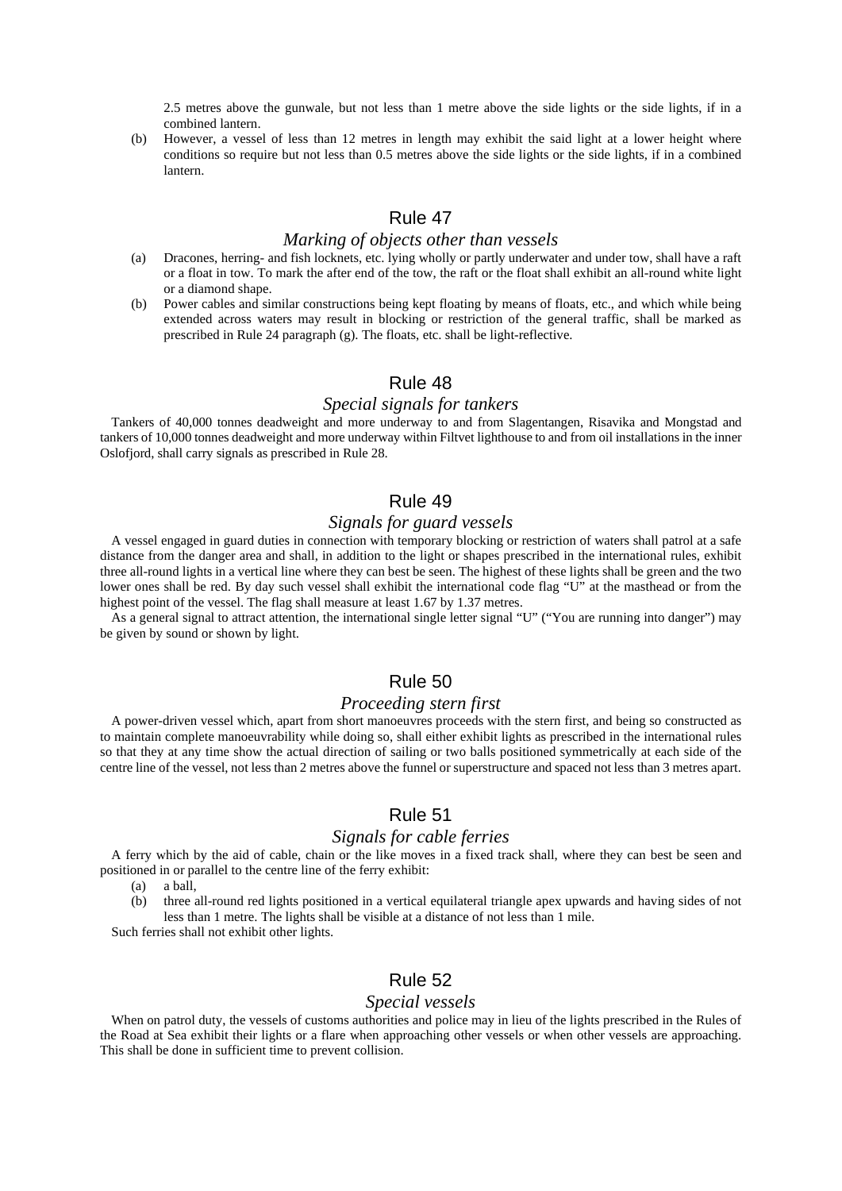2.5 metres above the gunwale, but not less than 1 metre above the side lights or the side lights, if in a combined lantern.

(b) However, a vessel of less than 12 metres in length may exhibit the said light at a lower height where conditions so require but not less than 0.5 metres above the side lights or the side lights, if in a combined lantern.

### Rule 47

#### *Marking of objects other than vessels*

- (a) Dracones, herring- and fish locknets, etc. lying wholly or partly underwater and under tow, shall have a raft or a float in tow. To mark the after end of the tow, the raft or the float shall exhibit an all-round white light or a diamond shape.
- (b) Power cables and similar constructions being kept floating by means of floats, etc., and which while being extended across waters may result in blocking or restriction of the general traffic, shall be marked as prescribed in Rule 24 paragraph (g). The floats, etc. shall be light-reflective.

### Rule 48

### *Special signals for tankers*

Tankers of 40,000 tonnes deadweight and more underway to and from Slagentangen, Risavika and Mongstad and tankers of 10,000 tonnes deadweight and more underway within Filtvet lighthouse to and from oil installations in the inner Oslofjord, shall carry signals as prescribed in Rule 28.

### Rule 49

### *Signals for guard vessels*

A vessel engaged in guard duties in connection with temporary blocking or restriction of waters shall patrol at a safe distance from the danger area and shall, in addition to the light or shapes prescribed in the international rules, exhibit three all-round lights in a vertical line where they can best be seen. The highest of these lights shall be green and the two lower ones shall be red. By day such vessel shall exhibit the international code flag "U" at the masthead or from the highest point of the vessel. The flag shall measure at least 1.67 by 1.37 metres.

As a general signal to attract attention, the international single letter signal "U" ("You are running into danger") may be given by sound or shown by light.

### Rule 50

#### *Proceeding stern first*

A power-driven vessel which, apart from short manoeuvres proceeds with the stern first, and being so constructed as to maintain complete manoeuvrability while doing so, shall either exhibit lights as prescribed in the international rules so that they at any time show the actual direction of sailing or two balls positioned symmetrically at each side of the centre line of the vessel, not less than 2 metres above the funnel or superstructure and spaced not less than 3 metres apart.

### Rule 51

### *Signals for cable ferries*

A ferry which by the aid of cable, chain or the like moves in a fixed track shall, where they can best be seen and positioned in or parallel to the centre line of the ferry exhibit:

- (a) a ball,
- (b) three all-round red lights positioned in a vertical equilateral triangle apex upwards and having sides of not less than 1 metre. The lights shall be visible at a distance of not less than 1 mile.

Such ferries shall not exhibit other lights.

### Rule 52

#### *Special vessels*

When on patrol duty, the vessels of customs authorities and police may in lieu of the lights prescribed in the Rules of the Road at Sea exhibit their lights or a flare when approaching other vessels or when other vessels are approaching. This shall be done in sufficient time to prevent collision.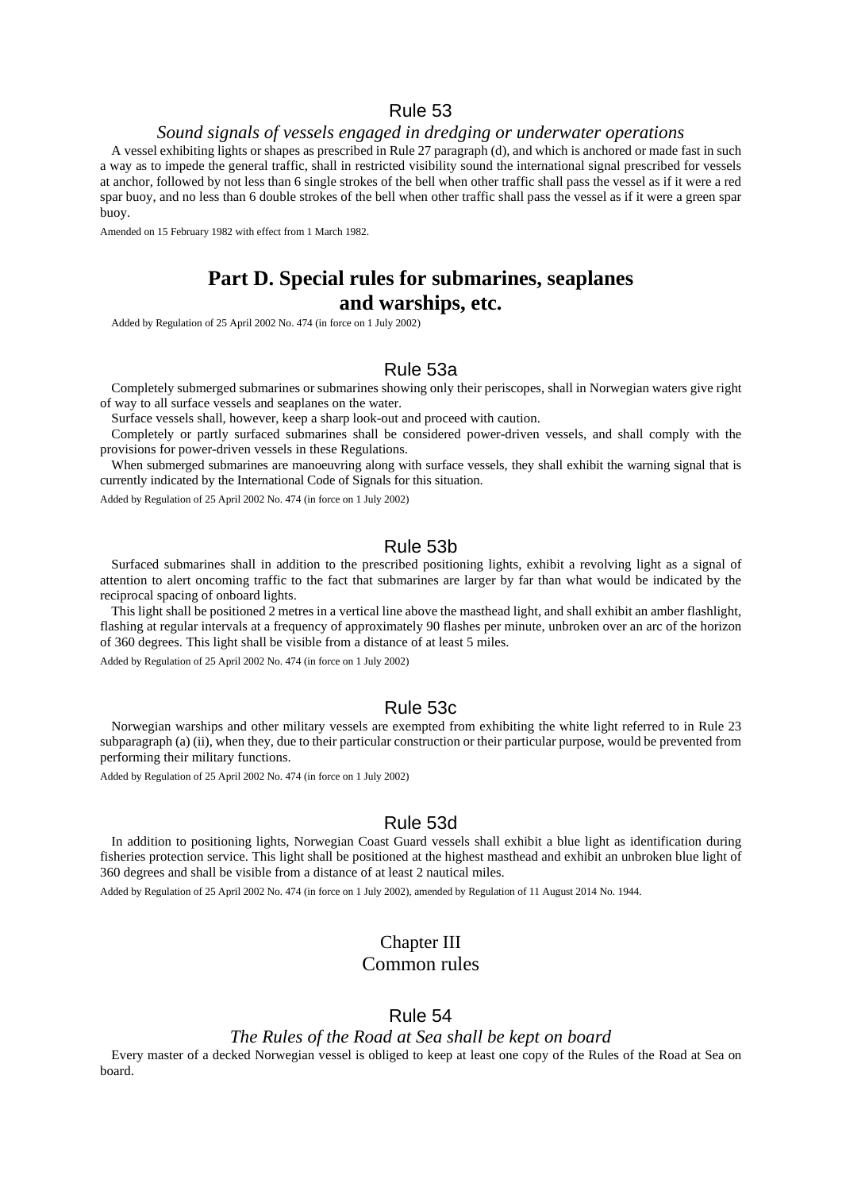### *Sound signals of vessels engaged in dredging or underwater operations*

A vessel exhibiting lights or shapes as prescribed in Rule 27 paragraph (d), and which is anchored or made fast in such a way as to impede the general traffic, shall in restricted visibility sound the international signal prescribed for vessels at anchor, followed by not less than 6 single strokes of the bell when other traffic shall pass the vessel as if it were a red spar buoy, and no less than 6 double strokes of the bell when other traffic shall pass the vessel as if it were a green spar buoy.

Amended on 15 February 1982 with effect from 1 March 1982.

# **Part D. Special rules for submarines, seaplanes and warships, etc.**

Added by Regulation of 25 April 2002 No. 474 (in force on 1 July 2002)

#### Rule 53a

Completely submerged submarines or submarines showing only their periscopes, shall in Norwegian waters give right of way to all surface vessels and seaplanes on the water.

Surface vessels shall, however, keep a sharp look-out and proceed with caution.

Completely or partly surfaced submarines shall be considered power-driven vessels, and shall comply with the provisions for power-driven vessels in these Regulations.

When submerged submarines are manoeuvring along with surface vessels, they shall exhibit the warning signal that is currently indicated by the International Code of Signals for this situation.

Added by Regulation of 25 April 2002 No. 474 (in force on 1 July 2002)

#### Rule 53b

Surfaced submarines shall in addition to the prescribed positioning lights, exhibit a revolving light as a signal of attention to alert oncoming traffic to the fact that submarines are larger by far than what would be indicated by the reciprocal spacing of onboard lights.

This light shall be positioned  $\overline{2}$  metres in a vertical line above the masthead light, and shall exhibit an amber flashlight, flashing at regular intervals at a frequency of approximately 90 flashes per minute, unbroken over an arc of the horizon of 360 degrees. This light shall be visible from a distance of at least 5 miles.

Added by Regulation of 25 April 2002 No. 474 (in force on 1 July 2002)

### Rule 53c

Norwegian warships and other military vessels are exempted from exhibiting the white light referred to in Rule 23 subparagraph (a) (ii), when they, due to their particular construction or their particular purpose, would be prevented from performing their military functions.

Added by Regulation of 25 April 2002 No. 474 (in force on 1 July 2002)

#### Rule 53d

In addition to positioning lights, Norwegian Coast Guard vessels shall exhibit a blue light as identification during fisheries protection service. This light shall be positioned at the highest masthead and exhibit an unbroken blue light of 360 degrees and shall be visible from a distance of at least 2 nautical miles.

Added by Regulation of 25 April 2002 No. 474 (in force on 1 July 2002), amended by Regulation of 11 August 2014 No. 1944.

## Chapter III Common rules

### Rule 54

#### *The Rules of the Road at Sea shall be kept on board*

Every master of a decked Norwegian vessel is obliged to keep at least one copy of the Rules of the Road at Sea on board.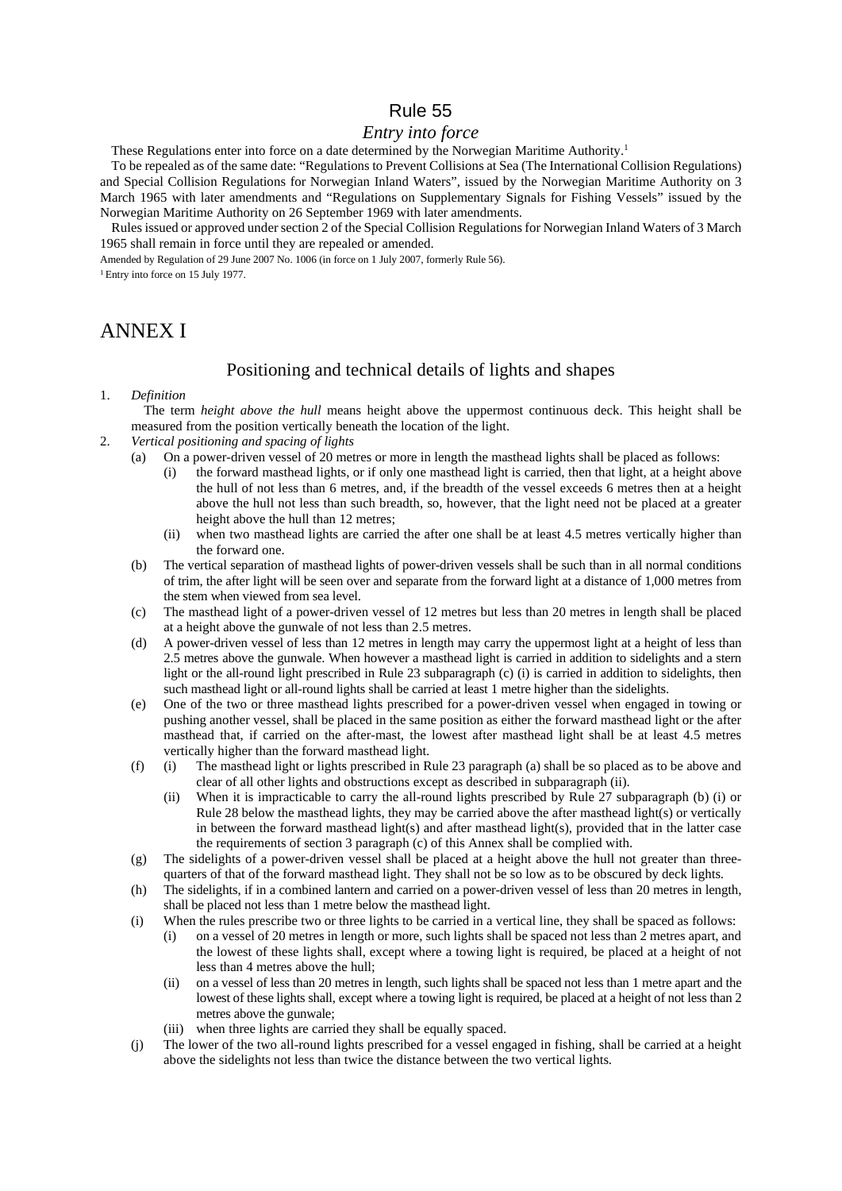### *Entry into force*

These Regulations enter into force on a date determined by the Norwegian Maritime Authority.1

To be repealed as of the same date: "Regulations to Prevent Collisions at Sea (The International Collision Regulations) and Special Collision Regulations for Norwegian Inland Waters", issued by the Norwegian Maritime Authority on 3 March 1965 with later amendments and "Regulations on Supplementary Signals for Fishing Vessels" issued by the Norwegian Maritime Authority on 26 September 1969 with later amendments.

Rules issued or approved under section 2 of the Special Collision Regulations for Norwegian Inland Waters of 3 March 1965 shall remain in force until they are repealed or amended.

Amended by Regulation of 29 June 2007 No. 1006 (in force on 1 July 2007, formerly Rule 56).

<sup>1</sup> Entry into force on 15 July 1977.

## ANNEX I

### Positioning and technical details of lights and shapes

#### 1. *Definition*

The term *height above the hull* means height above the uppermost continuous deck. This height shall be measured from the position vertically beneath the location of the light.

- 2. *Vertical positioning and spacing of lights*
	- (a) On a power-driven vessel of 20 metres or more in length the masthead lights shall be placed as follows:
		- (i) the forward masthead lights, or if only one masthead light is carried, then that light, at a height above the hull of not less than 6 metres, and, if the breadth of the vessel exceeds 6 metres then at a height above the hull not less than such breadth, so, however, that the light need not be placed at a greater height above the hull than 12 metres;
		- (ii) when two masthead lights are carried the after one shall be at least 4.5 metres vertically higher than the forward one.
	- (b) The vertical separation of masthead lights of power-driven vessels shall be such than in all normal conditions of trim, the after light will be seen over and separate from the forward light at a distance of 1,000 metres from the stem when viewed from sea level.
	- (c) The masthead light of a power-driven vessel of 12 metres but less than 20 metres in length shall be placed at a height above the gunwale of not less than 2.5 metres.
	- (d) A power-driven vessel of less than 12 metres in length may carry the uppermost light at a height of less than 2.5 metres above the gunwale. When however a masthead light is carried in addition to sidelights and a stern light or the all-round light prescribed in Rule 23 subparagraph (c) (i) is carried in addition to sidelights, then such masthead light or all-round lights shall be carried at least 1 metre higher than the sidelights.
	- (e) One of the two or three masthead lights prescribed for a power-driven vessel when engaged in towing or pushing another vessel, shall be placed in the same position as either the forward masthead light or the after masthead that, if carried on the after-mast, the lowest after masthead light shall be at least 4.5 metres vertically higher than the forward masthead light.
	- (f) (i) The masthead light or lights prescribed in Rule 23 paragraph (a) shall be so placed as to be above and clear of all other lights and obstructions except as described in subparagraph (ii).
		- (ii) When it is impracticable to carry the all-round lights prescribed by Rule 27 subparagraph (b) (i) or Rule 28 below the masthead lights, they may be carried above the after masthead light(s) or vertically in between the forward masthead light(s) and after masthead light(s), provided that in the latter case the requirements of section 3 paragraph (c) of this Annex shall be complied with.
	- (g) The sidelights of a power-driven vessel shall be placed at a height above the hull not greater than threequarters of that of the forward masthead light. They shall not be so low as to be obscured by deck lights.
	- (h) The sidelights, if in a combined lantern and carried on a power-driven vessel of less than 20 metres in length, shall be placed not less than 1 metre below the masthead light.
	- (i) When the rules prescribe two or three lights to be carried in a vertical line, they shall be spaced as follows:
		- (i) on a vessel of 20 metres in length or more, such lights shall be spaced not less than 2 metres apart, and the lowest of these lights shall, except where a towing light is required, be placed at a height of not less than 4 metres above the hull;
		- (ii) on a vessel of less than 20 metres in length, such lights shall be spaced not less than 1 metre apart and the lowest of these lights shall, except where a towing light is required, be placed at a height of not less than 2 metres above the gunwale;
		- (iii) when three lights are carried they shall be equally spaced.
	- (j) The lower of the two all-round lights prescribed for a vessel engaged in fishing, shall be carried at a height above the sidelights not less than twice the distance between the two vertical lights.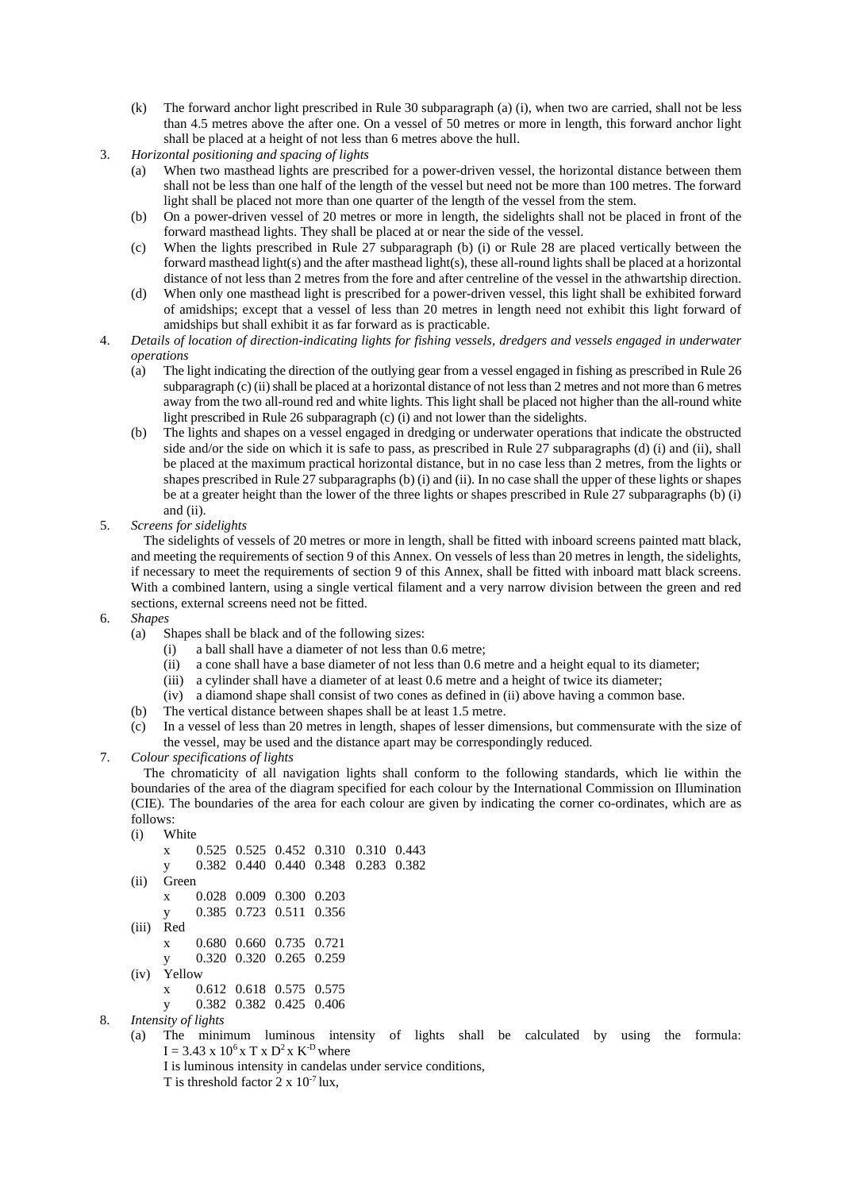- (k) The forward anchor light prescribed in Rule 30 subparagraph (a) (i), when two are carried, shall not be less than 4.5 metres above the after one. On a vessel of 50 metres or more in length, this forward anchor light shall be placed at a height of not less than 6 metres above the hull.
- 3. *Horizontal positioning and spacing of lights*
	- When two masthead lights are prescribed for a power-driven vessel, the horizontal distance between them shall not be less than one half of the length of the vessel but need not be more than 100 metres. The forward light shall be placed not more than one quarter of the length of the vessel from the stem.
	- (b) On a power-driven vessel of 20 metres or more in length, the sidelights shall not be placed in front of the forward masthead lights. They shall be placed at or near the side of the vessel.
	- (c) When the lights prescribed in Rule 27 subparagraph (b) (i) or Rule 28 are placed vertically between the forward masthead light(s) and the after masthead light(s), these all-round lights shall be placed at a horizontal distance of not less than 2 metres from the fore and after centreline of the vessel in the athwartship direction.
	- (d) When only one masthead light is prescribed for a power-driven vessel, this light shall be exhibited forward of amidships; except that a vessel of less than 20 metres in length need not exhibit this light forward of amidships but shall exhibit it as far forward as is practicable.
- 4. *Details of location of direction-indicating lights for fishing vessels, dredgers and vessels engaged in underwater operations*
	- (a) The light indicating the direction of the outlying gear from a vessel engaged in fishing as prescribed in Rule 26 subparagraph (c) (ii) shall be placed at a horizontal distance of not less than 2 metres and not more than 6 metres away from the two all-round red and white lights. This light shall be placed not higher than the all-round white light prescribed in Rule 26 subparagraph (c) (i) and not lower than the sidelights.
	- (b) The lights and shapes on a vessel engaged in dredging or underwater operations that indicate the obstructed side and/or the side on which it is safe to pass, as prescribed in Rule 27 subparagraphs (d) (i) and (ii), shall be placed at the maximum practical horizontal distance, but in no case less than 2 metres, from the lights or shapes prescribed in Rule 27 subparagraphs (b) (i) and (ii). In no case shall the upper of these lights or shapes be at a greater height than the lower of the three lights or shapes prescribed in Rule 27 subparagraphs (b) (i) and (ii).
- 5. *Screens for sidelights*

The sidelights of vessels of 20 metres or more in length, shall be fitted with inboard screens painted matt black, and meeting the requirements of section 9 of this Annex. On vessels of less than 20 metres in length, the sidelights, if necessary to meet the requirements of section 9 of this Annex, shall be fitted with inboard matt black screens. With a combined lantern, using a single vertical filament and a very narrow division between the green and red sections, external screens need not be fitted.

- 6. *Shapes*
	- (a) Shapes shall be black and of the following sizes:
		- (i) a ball shall have a diameter of not less than 0.6 metre;
		- (ii) a cone shall have a base diameter of not less than 0.6 metre and a height equal to its diameter;
		- (iii) a cylinder shall have a diameter of at least 0.6 metre and a height of twice its diameter;
		- (iv) a diamond shape shall consist of two cones as defined in (ii) above having a common base.
	- (b) The vertical distance between shapes shall be at least 1.5 metre.
	- (c) In a vessel of less than 20 metres in length, shapes of lesser dimensions, but commensurate with the size of the vessel, may be used and the distance apart may be correspondingly reduced.
- 7. *Colour specifications of lights*

The chromaticity of all navigation lights shall conform to the following standards, which lie within the boundaries of the area of the diagram specified for each colour by the International Commission on Illumination (CIE). The boundaries of the area for each colour are given by indicating the corner co-ordinates, which are as follows:

```
(i) White
```
- x 0.525 0.525 0.452 0.310 0.310 0.443 y 0.382 0.440 0.440 0.348 0.283 0.382 (ii) Green x 0.028 0.009 0.300 0.203 y 0.385 0.723 0.511 0.356 (iii) Red x 0.680 0.660 0.735 0.721 y 0.320 0.320 0.265 0.259 (iv) Yellow x 0.612 0.618 0.575 0.575 y 0.382 0.382 0.425 0.406
- 8. *Intensity of lights*
	- (a) The minimum luminous intensity of lights shall be calculated by using the formula:  $I = 3.43 \times 10^6 \text{ x T} \times D^2 \text{ x K}^D$  where

I is luminous intensity in candelas under service conditions,

T is threshold factor  $2 \times 10^{-7}$  lux,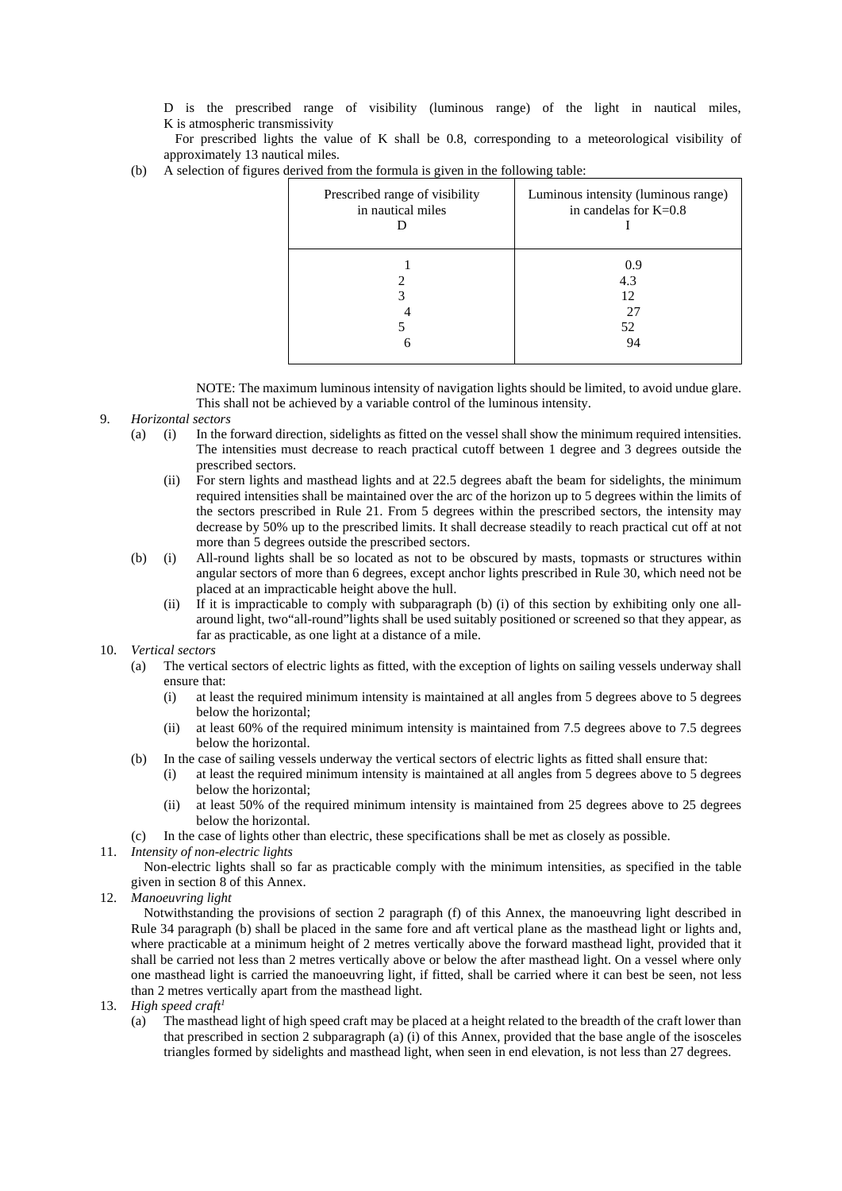D is the prescribed range of visibility (luminous range) of the light in nautical miles, K is atmospheric transmissivity

For prescribed lights the value of K shall be 0.8, corresponding to a meteorological visibility of approximately 13 nautical miles.

(b) A selection of figures derived from the formula is given in the following table:

| Prescribed range of visibility | Luminous intensity (luminous range) |
|--------------------------------|-------------------------------------|
| in nautical miles              | in candelas for $K=0.8$             |
|                                | 0.9<br>4.3<br>12<br>27<br>52<br>94  |

NOTE: The maximum luminous intensity of navigation lights should be limited, to avoid undue glare. This shall not be achieved by a variable control of the luminous intensity.

- 9. *Horizontal sectors*
	- (a) (i) In the forward direction, sidelights as fitted on the vessel shall show the minimum required intensities. The intensities must decrease to reach practical cutoff between 1 degree and 3 degrees outside the prescribed sectors.
		- (ii) For stern lights and masthead lights and at 22.5 degrees abaft the beam for sidelights, the minimum required intensities shall be maintained over the arc of the horizon up to 5 degrees within the limits of the sectors prescribed in Rule 21. From 5 degrees within the prescribed sectors, the intensity may decrease by 50% up to the prescribed limits. It shall decrease steadily to reach practical cut off at not more than 5 degrees outside the prescribed sectors.
	- (b) (i) All-round lights shall be so located as not to be obscured by masts, topmasts or structures within angular sectors of more than 6 degrees, except anchor lights prescribed in Rule 30, which need not be placed at an impracticable height above the hull.
		- (ii) If it is impracticable to comply with subparagraph (b) (i) of this section by exhibiting only one allaround light, two"all-round"lights shall be used suitably positioned or screened so that they appear, as far as practicable, as one light at a distance of a mile.
- 10. *Vertical sectors*
	- (a) The vertical sectors of electric lights as fitted, with the exception of lights on sailing vessels underway shall ensure that:
		- (i) at least the required minimum intensity is maintained at all angles from 5 degrees above to 5 degrees below the horizontal;
		- (ii) at least 60% of the required minimum intensity is maintained from 7.5 degrees above to 7.5 degrees below the horizontal.
	- (b) In the case of sailing vessels underway the vertical sectors of electric lights as fitted shall ensure that:
		- (i) at least the required minimum intensity is maintained at all angles from 5 degrees above to 5 degrees below the horizontal;
		- (ii) at least 50% of the required minimum intensity is maintained from 25 degrees above to 25 degrees below the horizontal.
	- (c) In the case of lights other than electric, these specifications shall be met as closely as possible.
- 11. *Intensity of non-electric lights*

Non-electric lights shall so far as practicable comply with the minimum intensities, as specified in the table given in section 8 of this Annex.

12. *Manoeuvring light*

Notwithstanding the provisions of section 2 paragraph (f) of this Annex, the manoeuvring light described in Rule 34 paragraph (b) shall be placed in the same fore and aft vertical plane as the masthead light or lights and, where practicable at a minimum height of 2 metres vertically above the forward masthead light, provided that it shall be carried not less than 2 metres vertically above or below the after masthead light. On a vessel where only one masthead light is carried the manoeuvring light, if fitted, shall be carried where it can best be seen, not less than 2 metres vertically apart from the masthead light.

- 13. *High speed craft*<sup>1</sup>
	- (a) The masthead light of high speed craft may be placed at a height related to the breadth of the craft lower than that prescribed in section 2 subparagraph (a) (i) of this Annex, provided that the base angle of the isosceles triangles formed by sidelights and masthead light, when seen in end elevation, is not less than 27 degrees.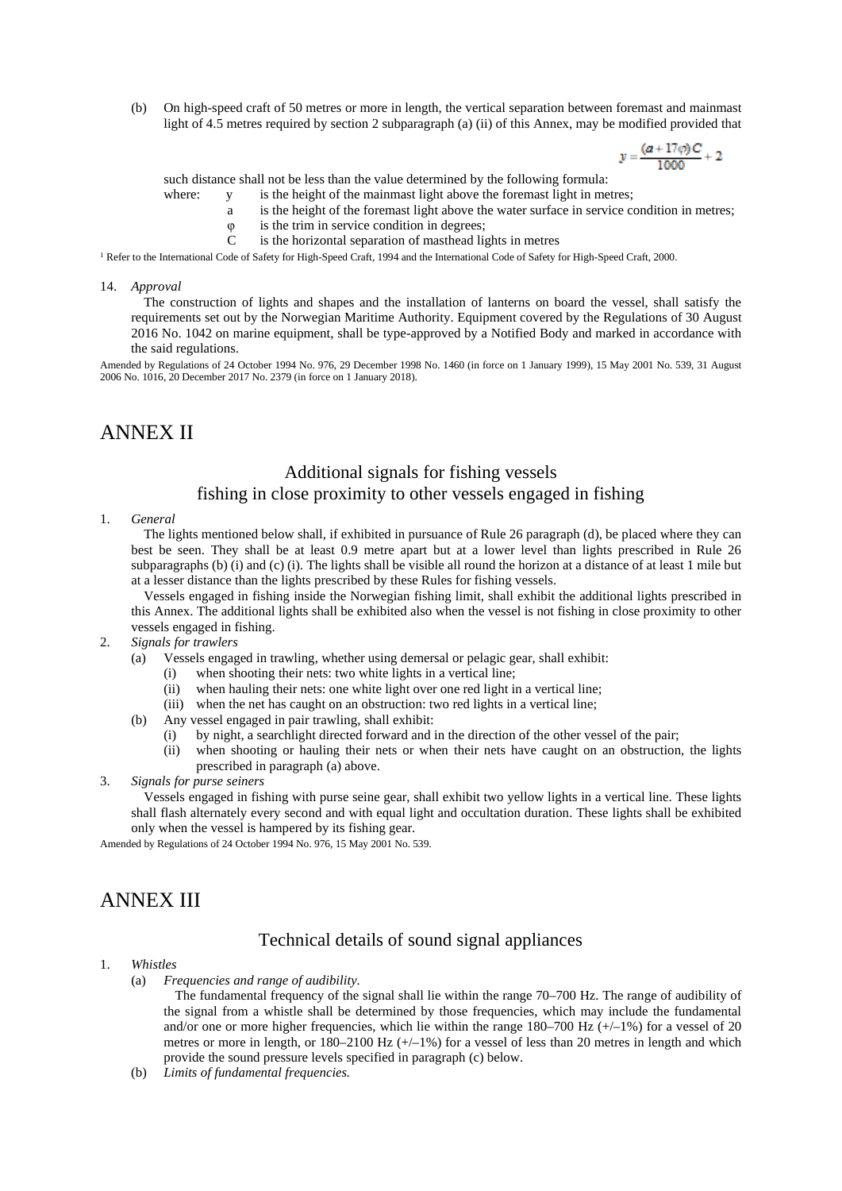(b) On high-speed craft of 50 metres or more in length, the vertical separation between foremast and mainmast light of 4.5 metres required by section 2 subparagraph (a) (ii) of this Annex, may be modified provided that

$$
y=\frac{\left(\alpha+17\phi\right)C}{1000}+2
$$

such distance shall not be less than the value determined by the following formula:

- where: y is the height of the mainmast light above the foremast light in metres;
	- a is the height of the foremast light above the water surface in service condition in metres;
		-
		- $\varphi$  is the trim in service condition in degrees;<br>C is the horizontal separation of masthead li is the horizontal separation of masthead lights in metres

<sup>1</sup> Refer to the International Code of Safety for High-Speed Craft, 1994 and the International Code of Safety for High-Speed Craft, 2000.

#### 14. *Approval*

The construction of lights and shapes and the installation of lanterns on board the vessel, shall satisfy the requirements set out by the Norwegian Maritime Authority. Equipment covered by the Regulations of 30 August 2016 No. 1042 on marine equipment, shall be type-approved by a Notified Body and marked in accordance with the said regulations.

Amended by Regulations of 24 October 1994 No. 976, 29 December 1998 No. 1460 (in force on 1 January 1999), 15 May 2001 No. 539, 31 August 2006 No. 1016, 20 December 2017 No. 2379 (in force on 1 January 2018).

## ANNEX II

## Additional signals for fishing vessels fishing in close proximity to other vessels engaged in fishing

#### 1. *General*

The lights mentioned below shall, if exhibited in pursuance of Rule 26 paragraph (d), be placed where they can best be seen. They shall be at least 0.9 metre apart but at a lower level than lights prescribed in Rule 26 subparagraphs (b) (i) and (c) (i). The lights shall be visible all round the horizon at a distance of at least 1 mile but at a lesser distance than the lights prescribed by these Rules for fishing vessels.

Vessels engaged in fishing inside the Norwegian fishing limit, shall exhibit the additional lights prescribed in this Annex. The additional lights shall be exhibited also when the vessel is not fishing in close proximity to other vessels engaged in fishing.

- 2. *Signals for trawlers*
	- (a) Vessels engaged in trawling, whether using demersal or pelagic gear, shall exhibit:
		- (i) when shooting their nets: two white lights in a vertical line;
		- (ii) when hauling their nets: one white light over one red light in a vertical line;
		- (iii) when the net has caught on an obstruction: two red lights in a vertical line;
	- (b) Any vessel engaged in pair trawling, shall exhibit:
		- (i) by night, a searchlight directed forward and in the direction of the other vessel of the pair;
		- (ii) when shooting or hauling their nets or when their nets have caught on an obstruction, the lights prescribed in paragraph (a) above.
- 3. *Signals for purse seiners*

Vessels engaged in fishing with purse seine gear, shall exhibit two yellow lights in a vertical line. These lights shall flash alternately every second and with equal light and occultation duration. These lights shall be exhibited only when the vessel is hampered by its fishing gear.

Amended by Regulations of 24 October 1994 No. 976, 15 May 2001 No. 539.

## ANNEX III

### Technical details of sound signal appliances

- 1. *Whistles*
	- (a) *Frequencies and range of audibility.*
		- The fundamental frequency of the signal shall lie within the range 70–700 Hz. The range of audibility of the signal from a whistle shall be determined by those frequencies, which may include the fundamental and/or one or more higher frequencies, which lie within the range  $180-700$  Hz ( $+/-1\%$ ) for a vessel of 20 metres or more in length, or 180–2100 Hz  $(+/-1\%)$  for a vessel of less than 20 metres in length and which provide the sound pressure levels specified in paragraph (c) below.
	- (b) *Limits of fundamental frequencies.*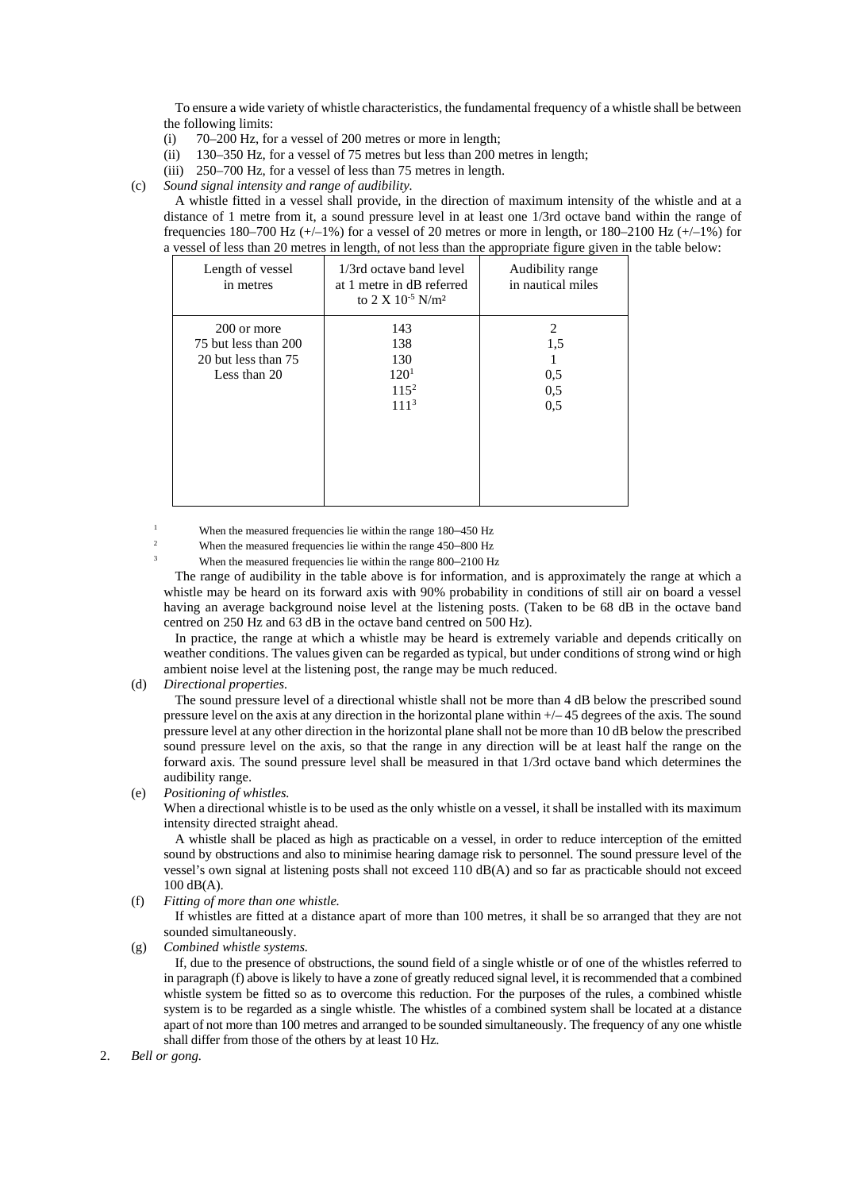To ensure a wide variety of whistle characteristics, the fundamental frequency of a whistle shall be between the following limits:

- (i) 70–200 Hz, for a vessel of 200 metres or more in length;
- (ii) 130–350 Hz, for a vessel of 75 metres but less than 200 metres in length;
- (iii) 250–700 Hz, for a vessel of less than 75 metres in length.
- (c) *Sound signal intensity and range of audibility.*

A whistle fitted in a vessel shall provide, in the direction of maximum intensity of the whistle and at a distance of 1 metre from it, a sound pressure level in at least one 1/3rd octave band within the range of frequencies 180–700 Hz ( $+/-1\%$ ) for a vessel of 20 metres or more in length, or 180–2100 Hz ( $+/-1\%$ ) for a vessel of less than 20 metres in length, of not less than the appropriate figure given in the table below:

| Length of vessel<br>in metres                                              | 1/3rd octave band level<br>at 1 metre in dB referred<br>to $2 \text{ X } 10^{-5} \text{ N/m}^2$ | Audibility range<br>in nautical miles      |
|----------------------------------------------------------------------------|-------------------------------------------------------------------------------------------------|--------------------------------------------|
| 200 or more<br>75 but less than 200<br>20 but less than 75<br>Less than 20 | 143<br>138<br>130<br>120 <sup>1</sup><br>$115^2$<br>111 <sup>3</sup>                            | $\mathfrak{D}$<br>1,5<br>0,5<br>0,5<br>0,5 |

When the measured frequencies lie within the range 180–450 Hz

<sup>2</sup> When the measured frequencies lie within the range 450–800 Hz

3 When the measured frequencies lie within the range 800–2100 Hz

The range of audibility in the table above is for information, and is approximately the range at which a whistle may be heard on its forward axis with 90% probability in conditions of still air on board a vessel having an average background noise level at the listening posts. (Taken to be 68 dB in the octave band centred on 250 Hz and 63 dB in the octave band centred on 500 Hz).

In practice, the range at which a whistle may be heard is extremely variable and depends critically on weather conditions. The values given can be regarded as typical, but under conditions of strong wind or high ambient noise level at the listening post, the range may be much reduced.

(d) *Directional properties.*

The sound pressure level of a directional whistle shall not be more than 4 dB below the prescribed sound pressure level on the axis at any direction in the horizontal plane within  $+/-45$  degrees of the axis. The sound pressure level at any other direction in the horizontal plane shall not be more than 10 dB below the prescribed sound pressure level on the axis, so that the range in any direction will be at least half the range on the forward axis. The sound pressure level shall be measured in that 1/3rd octave band which determines the audibility range.

(e) *Positioning of whistles.*

When a directional whistle is to be used as the only whistle on a vessel, it shall be installed with its maximum intensity directed straight ahead.

A whistle shall be placed as high as practicable on a vessel, in order to reduce interception of the emitted sound by obstructions and also to minimise hearing damage risk to personnel. The sound pressure level of the vessel's own signal at listening posts shall not exceed 110 dB(A) and so far as practicable should not exceed 100 dB(A).

(f) *Fitting of more than one whistle.*

If whistles are fitted at a distance apart of more than 100 metres, it shall be so arranged that they are not sounded simultaneously.

(g) *Combined whistle systems.*

If, due to the presence of obstructions, the sound field of a single whistle or of one of the whistles referred to in paragraph (f) above is likely to have a zone of greatly reduced signal level, it is recommended that a combined whistle system be fitted so as to overcome this reduction. For the purposes of the rules, a combined whistle system is to be regarded as a single whistle. The whistles of a combined system shall be located at a distance apart of not more than 100 metres and arranged to be sounded simultaneously. The frequency of any one whistle shall differ from those of the others by at least 10 Hz.

2. *Bell or gong.*